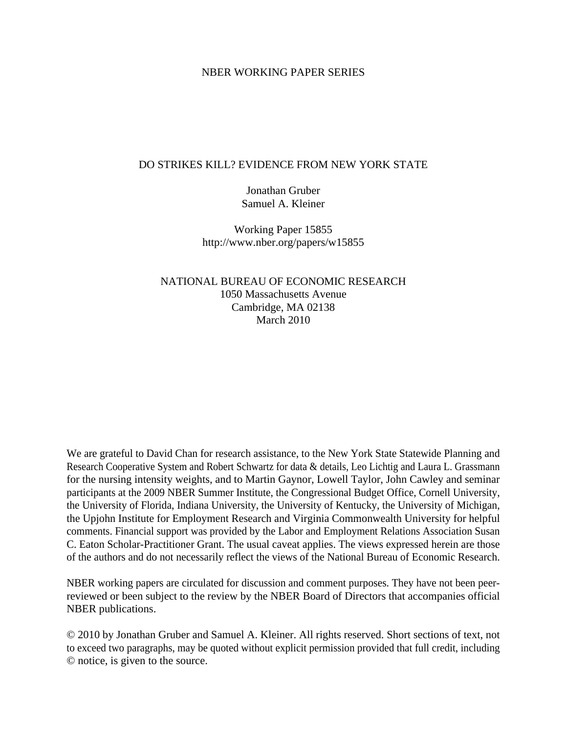### NBER WORKING PAPER SERIES

### DO STRIKES KILL? EVIDENCE FROM NEW YORK STATE

Jonathan Gruber Samuel A. Kleiner

Working Paper 15855 http://www.nber.org/papers/w15855

NATIONAL BUREAU OF ECONOMIC RESEARCH 1050 Massachusetts Avenue Cambridge, MA 02138 March 2010

We are grateful to David Chan for research assistance, to the New York State Statewide Planning and Research Cooperative System and Robert Schwartz for data & details, Leo Lichtig and Laura L. Grassmann for the nursing intensity weights, and to Martin Gaynor, Lowell Taylor, John Cawley and seminar participants at the 2009 NBER Summer Institute, the Congressional Budget Office, Cornell University, the University of Florida, Indiana University, the University of Kentucky, the University of Michigan, the Upjohn Institute for Employment Research and Virginia Commonwealth University for helpful comments. Financial support was provided by the Labor and Employment Relations Association Susan C. Eaton Scholar-Practitioner Grant. The usual caveat applies. The views expressed herein are those of the authors and do not necessarily reflect the views of the National Bureau of Economic Research.

NBER working papers are circulated for discussion and comment purposes. They have not been peerreviewed or been subject to the review by the NBER Board of Directors that accompanies official NBER publications.

© 2010 by Jonathan Gruber and Samuel A. Kleiner. All rights reserved. Short sections of text, not to exceed two paragraphs, may be quoted without explicit permission provided that full credit, including © notice, is given to the source.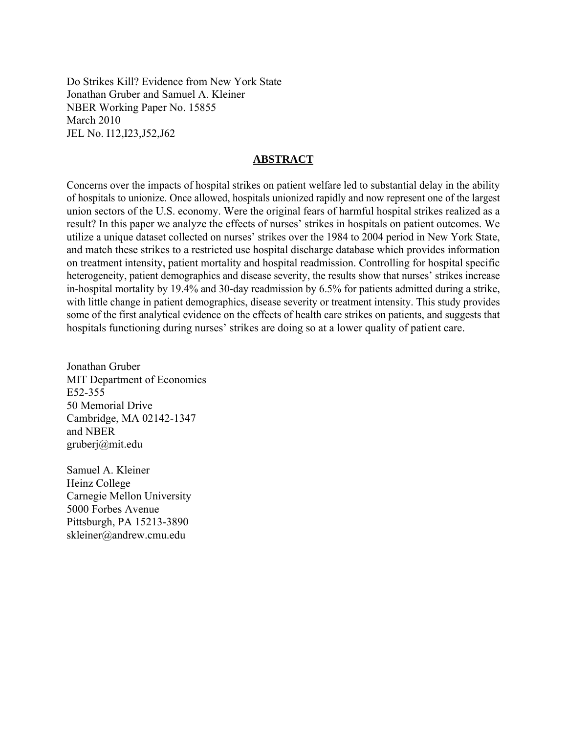Do Strikes Kill? Evidence from New York State Jonathan Gruber and Samuel A. Kleiner NBER Working Paper No. 15855 March 2010 JEL No. I12,I23,J52,J62

### **ABSTRACT**

Concerns over the impacts of hospital strikes on patient welfare led to substantial delay in the ability of hospitals to unionize. Once allowed, hospitals unionized rapidly and now represent one of the largest union sectors of the U.S. economy. Were the original fears of harmful hospital strikes realized as a result? In this paper we analyze the effects of nurses' strikes in hospitals on patient outcomes. We utilize a unique dataset collected on nurses' strikes over the 1984 to 2004 period in New York State, and match these strikes to a restricted use hospital discharge database which provides information on treatment intensity, patient mortality and hospital readmission. Controlling for hospital specific heterogeneity, patient demographics and disease severity, the results show that nurses' strikes increase in-hospital mortality by 19.4% and 30-day readmission by 6.5% for patients admitted during a strike, with little change in patient demographics, disease severity or treatment intensity. This study provides some of the first analytical evidence on the effects of health care strikes on patients, and suggests that hospitals functioning during nurses' strikes are doing so at a lower quality of patient care.

Jonathan Gruber MIT Department of Economics E52-355 50 Memorial Drive Cambridge, MA 02142-1347 and NBER gruberj@mit.edu

Samuel A. Kleiner Heinz College Carnegie Mellon University 5000 Forbes Avenue Pittsburgh, PA 15213-3890 skleiner@andrew.cmu.edu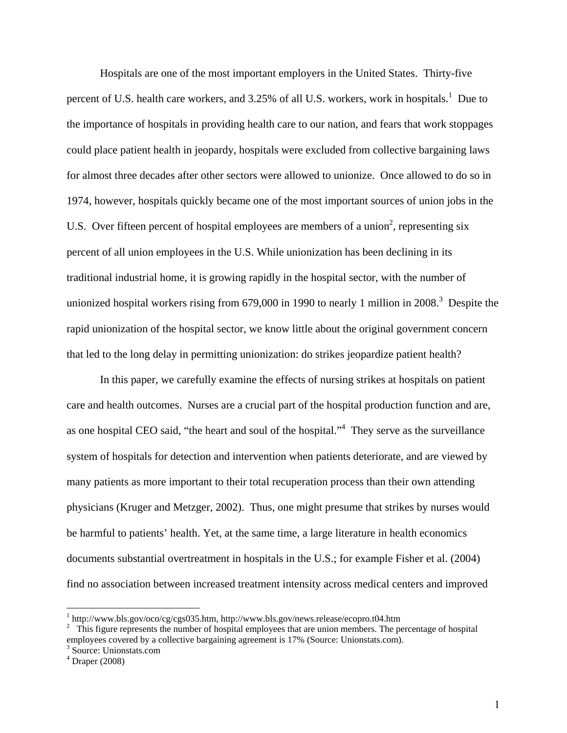Hospitals are one of the most important employers in the United States. Thirty-five percent of U.S. health care workers, and 3.25% of all U.S. workers, work in hospitals.<sup>1</sup> Due to the importance of hospitals in providing health care to our nation, and fears that work stoppages could place patient health in jeopardy, hospitals were excluded from collective bargaining laws for almost three decades after other sectors were allowed to unionize. Once allowed to do so in 1974, however, hospitals quickly became one of the most important sources of union jobs in the U.S. Over fifteen percent of hospital employees are members of a union<sup>2</sup>, representing six percent of all union employees in the U.S. While unionization has been declining in its traditional industrial home, it is growing rapidly in the hospital sector, with the number of unionized hospital workers rising from 679,000 in 1990 to nearly 1 million in 2008.<sup>3</sup> Despite the rapid unionization of the hospital sector, we know little about the original government concern that led to the long delay in permitting unionization: do strikes jeopardize patient health?

 In this paper, we carefully examine the effects of nursing strikes at hospitals on patient care and health outcomes. Nurses are a crucial part of the hospital production function and are, as one hospital CEO said, "the heart and soul of the hospital."<sup>4</sup> They serve as the surveillance system of hospitals for detection and intervention when patients deteriorate, and are viewed by many patients as more important to their total recuperation process than their own attending physicians (Kruger and Metzger, 2002). Thus, one might presume that strikes by nurses would be harmful to patients' health. Yet, at the same time, a large literature in health economics documents substantial overtreatment in hospitals in the U.S.; for example Fisher et al. (2004) find no association between increased treatment intensity across medical centers and improved

 $\overline{a}$ 

 $\frac{1}{2}$  http://www.bls.gov/oco/cg/cgs035.htm, http://www.bls.gov/news.release/ecopro.t04.htm  $\frac{2}{2}$ . This figure represents the number of bosnitel employees that are union members. The particular

<sup>&</sup>lt;sup>2</sup> This figure represents the number of hospital employees that are union members. The percentage of hospital employees covered by a collective bargaining agreement is 17% (Source: Unionstats.com).

<sup>&</sup>lt;sup>3</sup> Source: Unionstats.com

<sup>4</sup> Draper (2008)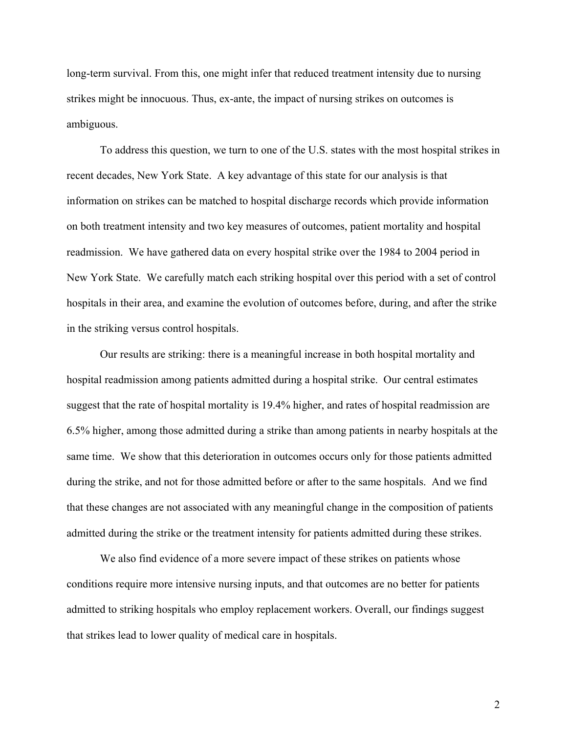long-term survival. From this, one might infer that reduced treatment intensity due to nursing strikes might be innocuous. Thus, ex-ante, the impact of nursing strikes on outcomes is ambiguous.

 To address this question, we turn to one of the U.S. states with the most hospital strikes in recent decades, New York State. A key advantage of this state for our analysis is that information on strikes can be matched to hospital discharge records which provide information on both treatment intensity and two key measures of outcomes, patient mortality and hospital readmission. We have gathered data on every hospital strike over the 1984 to 2004 period in New York State. We carefully match each striking hospital over this period with a set of control hospitals in their area, and examine the evolution of outcomes before, during, and after the strike in the striking versus control hospitals.

 Our results are striking: there is a meaningful increase in both hospital mortality and hospital readmission among patients admitted during a hospital strike. Our central estimates suggest that the rate of hospital mortality is 19.4% higher, and rates of hospital readmission are 6.5% higher, among those admitted during a strike than among patients in nearby hospitals at the same time. We show that this deterioration in outcomes occurs only for those patients admitted during the strike, and not for those admitted before or after to the same hospitals. And we find that these changes are not associated with any meaningful change in the composition of patients admitted during the strike or the treatment intensity for patients admitted during these strikes.

 We also find evidence of a more severe impact of these strikes on patients whose conditions require more intensive nursing inputs, and that outcomes are no better for patients admitted to striking hospitals who employ replacement workers. Overall, our findings suggest that strikes lead to lower quality of medical care in hospitals.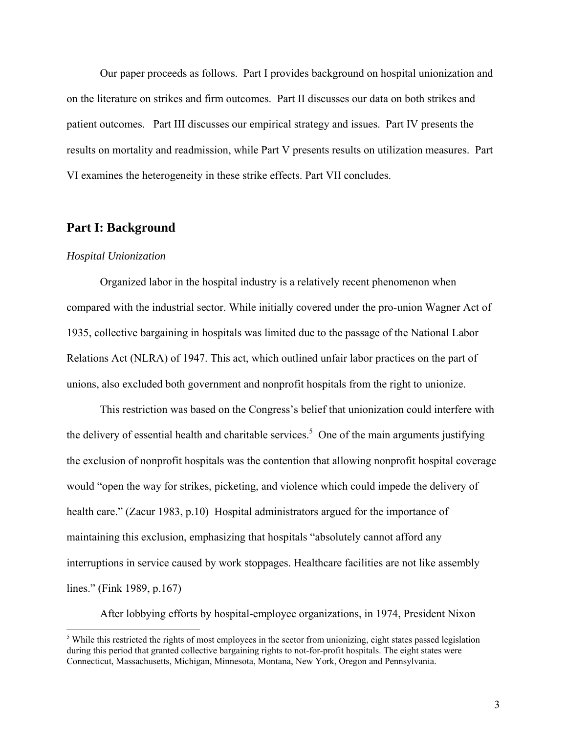Our paper proceeds as follows. Part I provides background on hospital unionization and on the literature on strikes and firm outcomes. Part II discusses our data on both strikes and patient outcomes. Part III discusses our empirical strategy and issues. Part IV presents the results on mortality and readmission, while Part V presents results on utilization measures. Part VI examines the heterogeneity in these strike effects. Part VII concludes.

### **Part I: Background**

#### *Hospital Unionization*

 $\overline{a}$ 

Organized labor in the hospital industry is a relatively recent phenomenon when compared with the industrial sector. While initially covered under the pro-union Wagner Act of 1935, collective bargaining in hospitals was limited due to the passage of the National Labor Relations Act (NLRA) of 1947. This act, which outlined unfair labor practices on the part of unions, also excluded both government and nonprofit hospitals from the right to unionize.

This restriction was based on the Congress's belief that unionization could interfere with the delivery of essential health and charitable services.<sup>5</sup> One of the main arguments justifying the exclusion of nonprofit hospitals was the contention that allowing nonprofit hospital coverage would "open the way for strikes, picketing, and violence which could impede the delivery of health care." (Zacur 1983, p.10) Hospital administrators argued for the importance of maintaining this exclusion, emphasizing that hospitals "absolutely cannot afford any interruptions in service caused by work stoppages. Healthcare facilities are not like assembly lines." (Fink 1989, p.167)

After lobbying efforts by hospital-employee organizations, in 1974, President Nixon

<sup>&</sup>lt;sup>5</sup> While this restricted the rights of most employees in the sector from unionizing, eight states passed legislation during this period that granted collective bargaining rights to not-for-profit hospitals. The eight states were Connecticut, Massachusetts, Michigan, Minnesota, Montana, New York, Oregon and Pennsylvania.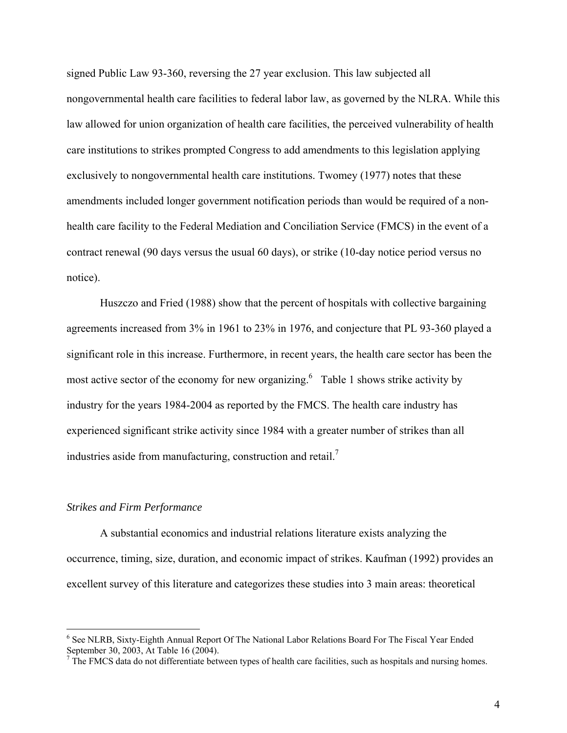signed Public Law 93-360, reversing the 27 year exclusion. This law subjected all nongovernmental health care facilities to federal labor law, as governed by the NLRA. While this law allowed for union organization of health care facilities, the perceived vulnerability of health care institutions to strikes prompted Congress to add amendments to this legislation applying exclusively to nongovernmental health care institutions. Twomey (1977) notes that these amendments included longer government notification periods than would be required of a nonhealth care facility to the Federal Mediation and Conciliation Service (FMCS) in the event of a contract renewal (90 days versus the usual 60 days), or strike (10-day notice period versus no notice).

Huszczo and Fried (1988) show that the percent of hospitals with collective bargaining agreements increased from 3% in 1961 to 23% in 1976, and conjecture that PL 93-360 played a significant role in this increase. Furthermore, in recent years, the health care sector has been the most active sector of the economy for new organizing.<sup>6</sup> Table 1 shows strike activity by industry for the years 1984-2004 as reported by the FMCS. The health care industry has experienced significant strike activity since 1984 with a greater number of strikes than all industries aside from manufacturing, construction and retail. $^7$ 

### *Strikes and Firm Performance*

 $\overline{a}$ 

A substantial economics and industrial relations literature exists analyzing the occurrence, timing, size, duration, and economic impact of strikes. Kaufman (1992) provides an excellent survey of this literature and categorizes these studies into 3 main areas: theoretical

<sup>&</sup>lt;sup>6</sup> See NLRB, Sixty-Eighth Annual Report Of The National Labor Relations Board For The Fiscal Year Ended September 30, 2003, At Table 16 (2004).

 $<sup>7</sup>$  The FMCS data do not differentiate between types of health care facilities, such as hospitals and nursing homes.</sup>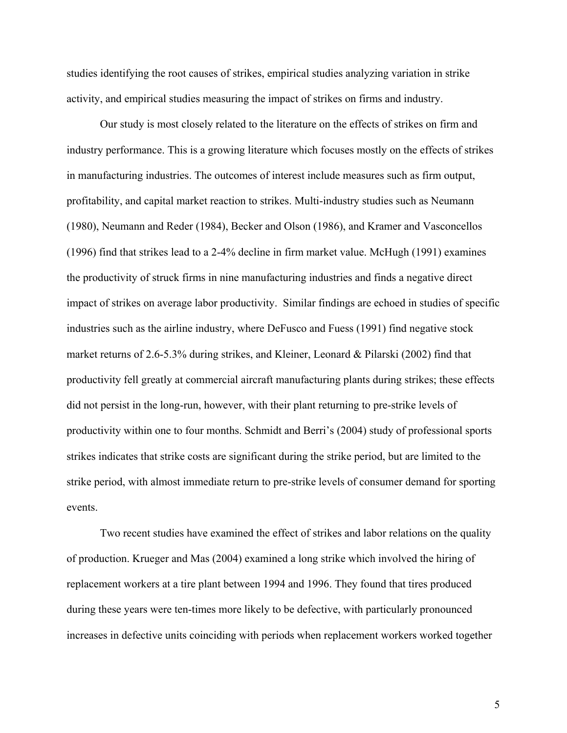studies identifying the root causes of strikes, empirical studies analyzing variation in strike activity, and empirical studies measuring the impact of strikes on firms and industry.

Our study is most closely related to the literature on the effects of strikes on firm and industry performance. This is a growing literature which focuses mostly on the effects of strikes in manufacturing industries. The outcomes of interest include measures such as firm output, profitability, and capital market reaction to strikes. Multi-industry studies such as Neumann (1980), Neumann and Reder (1984), Becker and Olson (1986), and Kramer and Vasconcellos (1996) find that strikes lead to a 2-4% decline in firm market value. McHugh (1991) examines the productivity of struck firms in nine manufacturing industries and finds a negative direct impact of strikes on average labor productivity. Similar findings are echoed in studies of specific industries such as the airline industry, where DeFusco and Fuess (1991) find negative stock market returns of 2.6-5.3% during strikes, and Kleiner, Leonard & Pilarski (2002) find that productivity fell greatly at commercial aircraft manufacturing plants during strikes; these effects did not persist in the long-run, however, with their plant returning to pre-strike levels of productivity within one to four months. Schmidt and Berri's (2004) study of professional sports strikes indicates that strike costs are significant during the strike period, but are limited to the strike period, with almost immediate return to pre-strike levels of consumer demand for sporting events.

Two recent studies have examined the effect of strikes and labor relations on the quality of production. Krueger and Mas (2004) examined a long strike which involved the hiring of replacement workers at a tire plant between 1994 and 1996. They found that tires produced during these years were ten-times more likely to be defective, with particularly pronounced increases in defective units coinciding with periods when replacement workers worked together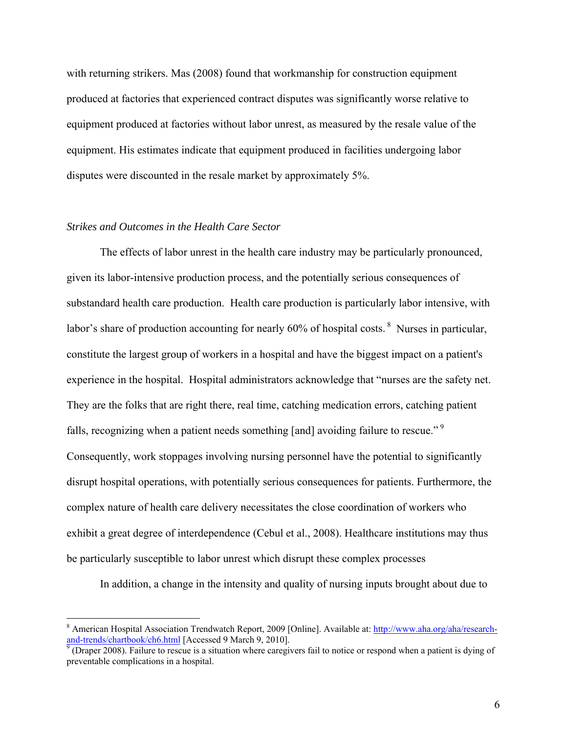with returning strikers. Mas (2008) found that workmanship for construction equipment produced at factories that experienced contract disputes was significantly worse relative to equipment produced at factories without labor unrest, as measured by the resale value of the equipment. His estimates indicate that equipment produced in facilities undergoing labor disputes were discounted in the resale market by approximately 5%.

### *Strikes and Outcomes in the Health Care Sector*

 $\overline{a}$ 

The effects of labor unrest in the health care industry may be particularly pronounced, given its labor-intensive production process, and the potentially serious consequences of substandard health care production. Health care production is particularly labor intensive, with labor's share of production accounting for nearly 60% of hospital costs. <sup>8</sup> Nurses in particular, constitute the largest group of workers in a hospital and have the biggest impact on a patient's experience in the hospital. Hospital administrators acknowledge that "nurses are the safety net. They are the folks that are right there, real time, catching medication errors, catching patient falls, recognizing when a patient needs something [and] avoiding failure to rescue."<sup>9</sup> Consequently, work stoppages involving nursing personnel have the potential to significantly disrupt hospital operations, with potentially serious consequences for patients. Furthermore, the complex nature of health care delivery necessitates the close coordination of workers who exhibit a great degree of interdependence (Cebul et al., 2008). Healthcare institutions may thus be particularly susceptible to labor unrest which disrupt these complex processes

In addition, a change in the intensity and quality of nursing inputs brought about due to

<sup>&</sup>lt;sup>8</sup> American Hospital Association Trendwatch Report, 2009 [Online]. Available at: http://www.aha.org/aha/researchand-trends/chartbook/ch6.html [Accessed 9 March 9, 2010].<br><sup>9</sup> (Draper 2008). Failure to rescue is a situation where caregivers fail to notice or respond when a patient is dying of

preventable complications in a hospital.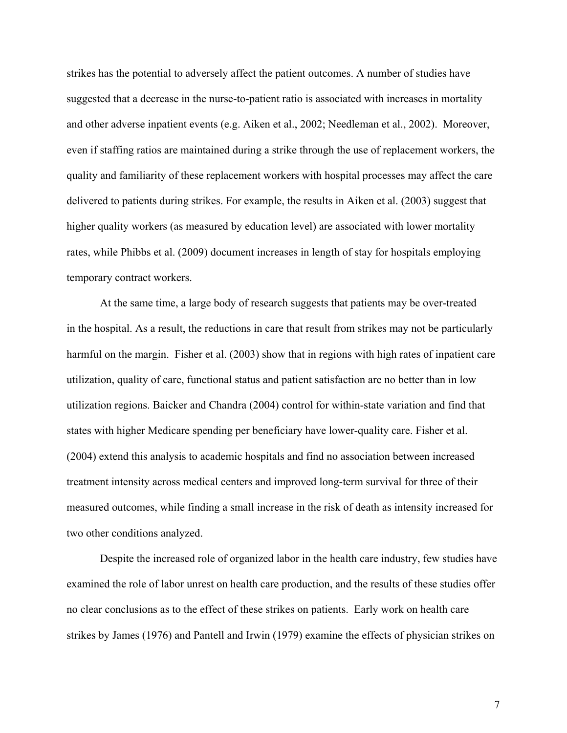strikes has the potential to adversely affect the patient outcomes. A number of studies have suggested that a decrease in the nurse-to-patient ratio is associated with increases in mortality and other adverse inpatient events (e.g. Aiken et al., 2002; Needleman et al., 2002). Moreover, even if staffing ratios are maintained during a strike through the use of replacement workers, the quality and familiarity of these replacement workers with hospital processes may affect the care delivered to patients during strikes. For example, the results in Aiken et al. (2003) suggest that higher quality workers (as measured by education level) are associated with lower mortality rates, while Phibbs et al. (2009) document increases in length of stay for hospitals employing temporary contract workers.

At the same time, a large body of research suggests that patients may be over-treated in the hospital. As a result, the reductions in care that result from strikes may not be particularly harmful on the margin. Fisher et al. (2003) show that in regions with high rates of inpatient care utilization, quality of care, functional status and patient satisfaction are no better than in low utilization regions. Baicker and Chandra (2004) control for within-state variation and find that states with higher Medicare spending per beneficiary have lower-quality care. Fisher et al. (2004) extend this analysis to academic hospitals and find no association between increased treatment intensity across medical centers and improved long-term survival for three of their measured outcomes, while finding a small increase in the risk of death as intensity increased for two other conditions analyzed.

Despite the increased role of organized labor in the health care industry, few studies have examined the role of labor unrest on health care production, and the results of these studies offer no clear conclusions as to the effect of these strikes on patients. Early work on health care strikes by James (1976) and Pantell and Irwin (1979) examine the effects of physician strikes on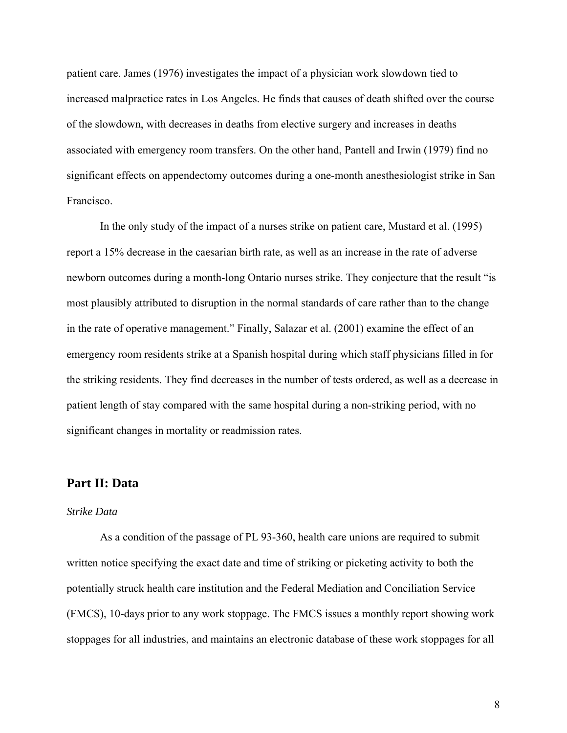patient care. James (1976) investigates the impact of a physician work slowdown tied to increased malpractice rates in Los Angeles. He finds that causes of death shifted over the course of the slowdown, with decreases in deaths from elective surgery and increases in deaths associated with emergency room transfers. On the other hand, Pantell and Irwin (1979) find no significant effects on appendectomy outcomes during a one-month anesthesiologist strike in San Francisco.

In the only study of the impact of a nurses strike on patient care, Mustard et al. (1995) report a 15% decrease in the caesarian birth rate, as well as an increase in the rate of adverse newborn outcomes during a month-long Ontario nurses strike. They conjecture that the result "is most plausibly attributed to disruption in the normal standards of care rather than to the change in the rate of operative management." Finally, Salazar et al. (2001) examine the effect of an emergency room residents strike at a Spanish hospital during which staff physicians filled in for the striking residents. They find decreases in the number of tests ordered, as well as a decrease in patient length of stay compared with the same hospital during a non-striking period, with no significant changes in mortality or readmission rates.

### **Part II: Data**

#### *Strike Data*

As a condition of the passage of PL 93-360, health care unions are required to submit written notice specifying the exact date and time of striking or picketing activity to both the potentially struck health care institution and the Federal Mediation and Conciliation Service (FMCS), 10-days prior to any work stoppage. The FMCS issues a monthly report showing work stoppages for all industries, and maintains an electronic database of these work stoppages for all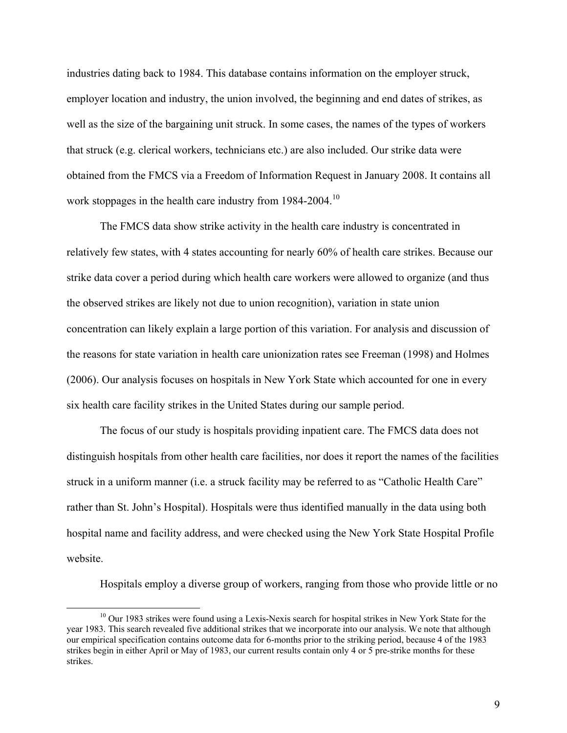industries dating back to 1984. This database contains information on the employer struck, employer location and industry, the union involved, the beginning and end dates of strikes, as well as the size of the bargaining unit struck. In some cases, the names of the types of workers that struck (e.g. clerical workers, technicians etc.) are also included. Our strike data were obtained from the FMCS via a Freedom of Information Request in January 2008. It contains all work stoppages in the health care industry from 1984-2004.<sup>10</sup>

The FMCS data show strike activity in the health care industry is concentrated in relatively few states, with 4 states accounting for nearly 60% of health care strikes. Because our strike data cover a period during which health care workers were allowed to organize (and thus the observed strikes are likely not due to union recognition), variation in state union concentration can likely explain a large portion of this variation. For analysis and discussion of the reasons for state variation in health care unionization rates see Freeman (1998) and Holmes (2006). Our analysis focuses on hospitals in New York State which accounted for one in every six health care facility strikes in the United States during our sample period.

The focus of our study is hospitals providing inpatient care. The FMCS data does not distinguish hospitals from other health care facilities, nor does it report the names of the facilities struck in a uniform manner (i.e. a struck facility may be referred to as "Catholic Health Care" rather than St. John's Hospital). Hospitals were thus identified manually in the data using both hospital name and facility address, and were checked using the New York State Hospital Profile website.

Hospitals employ a diverse group of workers, ranging from those who provide little or no

 $10$  Our 1983 strikes were found using a Lexis-Nexis search for hospital strikes in New York State for the year 1983. This search revealed five additional strikes that we incorporate into our analysis. We note that although our empirical specification contains outcome data for 6-months prior to the striking period, because 4 of the 1983 strikes begin in either April or May of 1983, our current results contain only 4 or 5 pre-strike months for these strikes.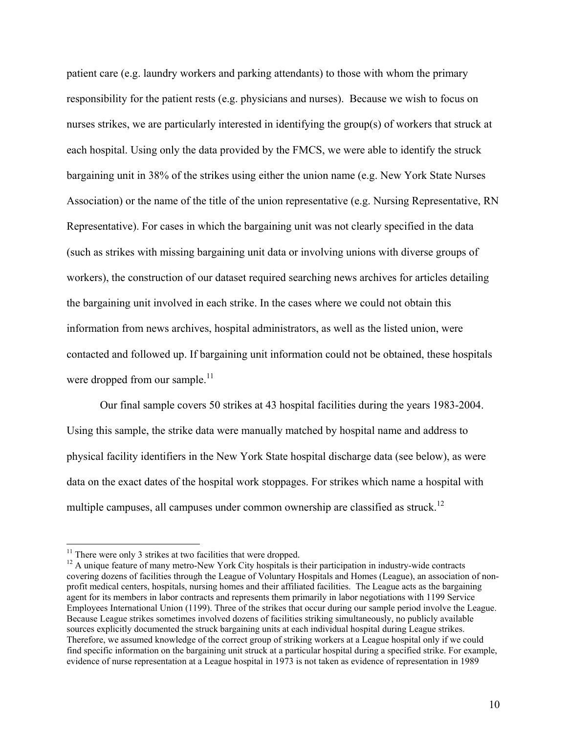patient care (e.g. laundry workers and parking attendants) to those with whom the primary responsibility for the patient rests (e.g. physicians and nurses). Because we wish to focus on nurses strikes, we are particularly interested in identifying the group(s) of workers that struck at each hospital. Using only the data provided by the FMCS, we were able to identify the struck bargaining unit in 38% of the strikes using either the union name (e.g. New York State Nurses Association) or the name of the title of the union representative (e.g. Nursing Representative, RN Representative). For cases in which the bargaining unit was not clearly specified in the data (such as strikes with missing bargaining unit data or involving unions with diverse groups of workers), the construction of our dataset required searching news archives for articles detailing the bargaining unit involved in each strike. In the cases where we could not obtain this information from news archives, hospital administrators, as well as the listed union, were contacted and followed up. If bargaining unit information could not be obtained, these hospitals were dropped from our sample. $11$ 

Our final sample covers 50 strikes at 43 hospital facilities during the years 1983-2004. Using this sample, the strike data were manually matched by hospital name and address to physical facility identifiers in the New York State hospital discharge data (see below), as were data on the exact dates of the hospital work stoppages. For strikes which name a hospital with multiple campuses, all campuses under common ownership are classified as struck.<sup>12</sup>

<sup>&</sup>lt;sup>11</sup> There were only 3 strikes at two facilities that were dropped.

<sup>&</sup>lt;sup>12</sup> A unique feature of many metro-New York City hospitals is their participation in industry-wide contracts covering dozens of facilities through the League of Voluntary Hospitals and Homes (League), an association of nonprofit medical centers, hospitals, nursing homes and their affiliated facilities. The League acts as the bargaining agent for its members in labor contracts and represents them primarily in labor negotiations with 1199 Service Employees International Union (1199). Three of the strikes that occur during our sample period involve the League. Because League strikes sometimes involved dozens of facilities striking simultaneously, no publicly available sources explicitly documented the struck bargaining units at each individual hospital during League strikes. Therefore, we assumed knowledge of the correct group of striking workers at a League hospital only if we could find specific information on the bargaining unit struck at a particular hospital during a specified strike. For example, evidence of nurse representation at a League hospital in 1973 is not taken as evidence of representation in 1989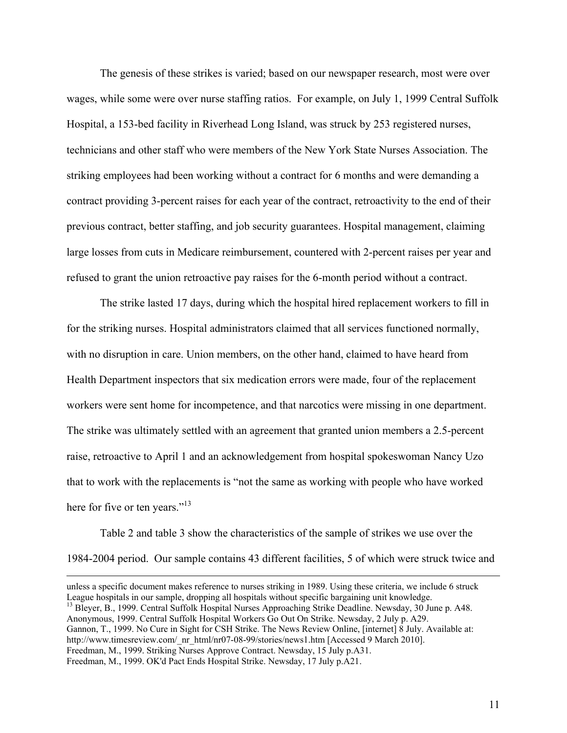The genesis of these strikes is varied; based on our newspaper research, most were over wages, while some were over nurse staffing ratios. For example, on July 1, 1999 Central Suffolk Hospital, a 153-bed facility in Riverhead Long Island, was struck by 253 registered nurses, technicians and other staff who were members of the New York State Nurses Association. The striking employees had been working without a contract for 6 months and were demanding a contract providing 3-percent raises for each year of the contract, retroactivity to the end of their previous contract, better staffing, and job security guarantees. Hospital management, claiming large losses from cuts in Medicare reimbursement, countered with 2-percent raises per year and refused to grant the union retroactive pay raises for the 6-month period without a contract.

The strike lasted 17 days, during which the hospital hired replacement workers to fill in for the striking nurses. Hospital administrators claimed that all services functioned normally, with no disruption in care. Union members, on the other hand, claimed to have heard from Health Department inspectors that six medication errors were made, four of the replacement workers were sent home for incompetence, and that narcotics were missing in one department. The strike was ultimately settled with an agreement that granted union members a 2.5-percent raise, retroactive to April 1 and an acknowledgement from hospital spokeswoman Nancy Uzo that to work with the replacements is "not the same as working with people who have worked here for five or ten years."<sup>13</sup>

Table 2 and table 3 show the characteristics of the sample of strikes we use over the 1984-2004 period. Our sample contains 43 different facilities, 5 of which were struck twice and

<sup>13</sup> Bleyer, B., 1999. Central Suffolk Hospital Nurses Approaching Strike Deadline. Newsday, 30 June p. A48. Anonymous, 1999. Central Suffolk Hospital Workers Go Out On Strike. Newsday, 2 July p. A29. Gannon, T., 1999. No Cure in Sight for CSH Strike. The News Review Online, [internet] 8 July. Available at: http://www.timesreview.com/\_nr\_html/nr07-08-99/stories/news1.htm [Accessed 9 March 2010]. Freedman, M., 1999. Striking Nurses Approve Contract. Newsday, 15 July p.A31. Freedman, M., 1999. OK'd Pact Ends Hospital Strike. Newsday, 17 July p.A21.

unless a specific document makes reference to nurses striking in 1989. Using these criteria, we include 6 struck League hospitals in our sample, dropping all hospitals without specific bargaining unit knowledge.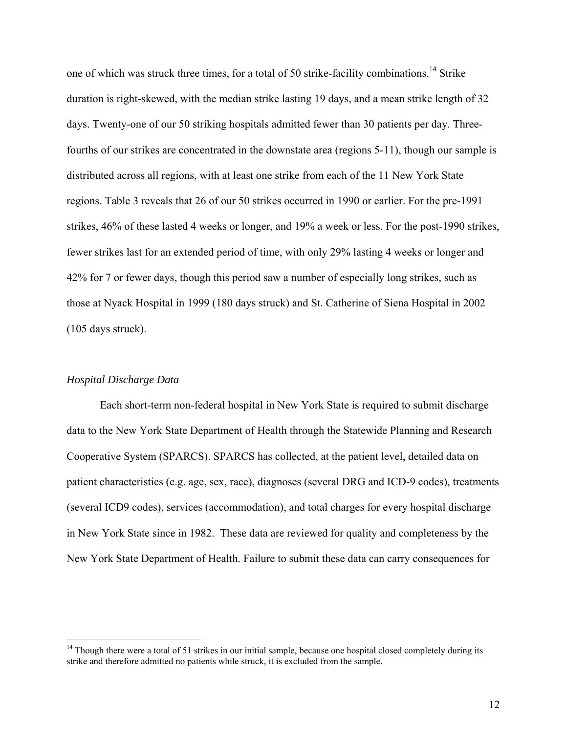one of which was struck three times, for a total of 50 strike-facility combinations.<sup>14</sup> Strike duration is right-skewed, with the median strike lasting 19 days, and a mean strike length of 32 days. Twenty-one of our 50 striking hospitals admitted fewer than 30 patients per day. Threefourths of our strikes are concentrated in the downstate area (regions 5-11), though our sample is distributed across all regions, with at least one strike from each of the 11 New York State regions. Table 3 reveals that 26 of our 50 strikes occurred in 1990 or earlier. For the pre-1991 strikes, 46% of these lasted 4 weeks or longer, and 19% a week or less. For the post-1990 strikes, fewer strikes last for an extended period of time, with only 29% lasting 4 weeks or longer and 42% for 7 or fewer days, though this period saw a number of especially long strikes, such as those at Nyack Hospital in 1999 (180 days struck) and St. Catherine of Siena Hospital in 2002 (105 days struck).

### *Hospital Discharge Data*

 $\overline{a}$ 

Each short-term non-federal hospital in New York State is required to submit discharge data to the New York State Department of Health through the Statewide Planning and Research Cooperative System (SPARCS). SPARCS has collected, at the patient level, detailed data on patient characteristics (e.g. age, sex, race), diagnoses (several DRG and ICD-9 codes), treatments (several ICD9 codes), services (accommodation), and total charges for every hospital discharge in New York State since in 1982. These data are reviewed for quality and completeness by the New York State Department of Health. Failure to submit these data can carry consequences for

<sup>&</sup>lt;sup>14</sup> Though there were a total of 51 strikes in our initial sample, because one hospital closed completely during its strike and therefore admitted no patients while struck, it is excluded from the sample.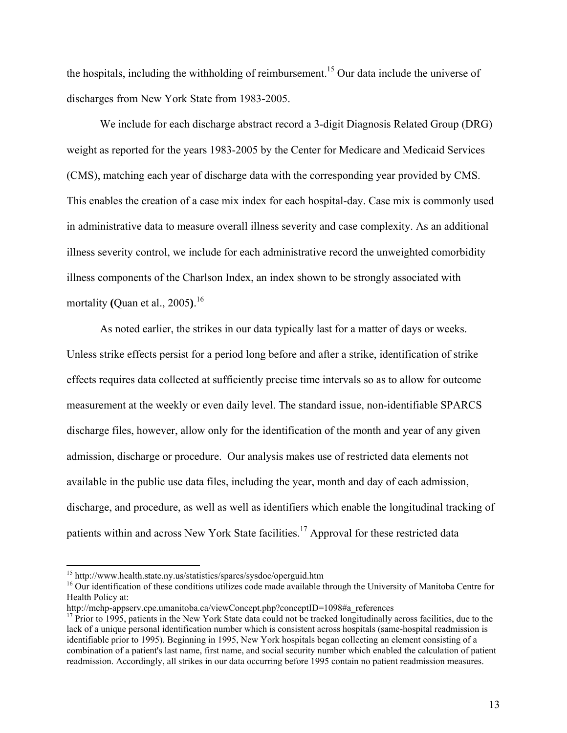the hospitals, including the withholding of reimbursement.<sup>15</sup> Our data include the universe of discharges from New York State from 1983-2005.

We include for each discharge abstract record a 3-digit Diagnosis Related Group (DRG) weight as reported for the years 1983-2005 by the Center for Medicare and Medicaid Services (CMS), matching each year of discharge data with the corresponding year provided by CMS. This enables the creation of a case mix index for each hospital-day. Case mix is commonly used in administrative data to measure overall illness severity and case complexity. As an additional illness severity control, we include for each administrative record the unweighted comorbidity illness components of the Charlson Index, an index shown to be strongly associated with mortality **(**Quan et al., 2005**)**. 16

As noted earlier, the strikes in our data typically last for a matter of days or weeks. Unless strike effects persist for a period long before and after a strike, identification of strike effects requires data collected at sufficiently precise time intervals so as to allow for outcome measurement at the weekly or even daily level. The standard issue, non-identifiable SPARCS discharge files, however, allow only for the identification of the month and year of any given admission, discharge or procedure. Our analysis makes use of restricted data elements not available in the public use data files, including the year, month and day of each admission, discharge, and procedure, as well as well as identifiers which enable the longitudinal tracking of patients within and across New York State facilities.<sup>17</sup> Approval for these restricted data

<sup>&</sup>lt;sup>15</sup> http://www.health.state.ny.us/statistics/sparcs/sysdoc/operguid.htm

<sup>&</sup>lt;sup>16</sup> Our identification of these conditions utilizes code made available through the University of Manitoba Centre for Health Policy at:

http://mchp-appserv.cpe.umanitoba.ca/viewConcept.php?conceptID=1098#a\_references

<sup>&</sup>lt;sup>17</sup> Prior to 1995, patients in the New York State data could not be tracked longitudinally across facilities, due to the lack of a unique personal identification number which is consistent across hospitals (same-hospital readmission is identifiable prior to 1995). Beginning in 1995, New York hospitals began collecting an element consisting of a combination of a patient's last name, first name, and social security number which enabled the calculation of patient readmission. Accordingly, all strikes in our data occurring before 1995 contain no patient readmission measures.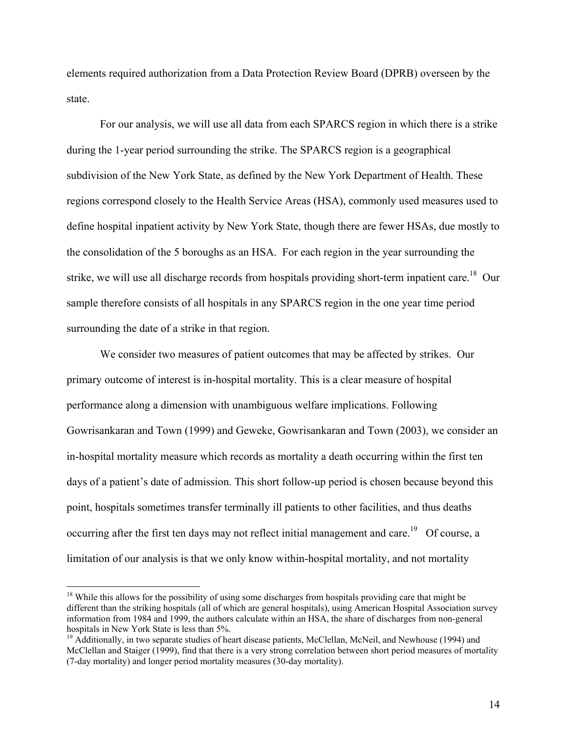elements required authorization from a Data Protection Review Board (DPRB) overseen by the state.

 For our analysis, we will use all data from each SPARCS region in which there is a strike during the 1-year period surrounding the strike. The SPARCS region is a geographical subdivision of the New York State, as defined by the New York Department of Health. These regions correspond closely to the Health Service Areas (HSA), commonly used measures used to define hospital inpatient activity by New York State, though there are fewer HSAs, due mostly to the consolidation of the 5 boroughs as an HSA. For each region in the year surrounding the strike, we will use all discharge records from hospitals providing short-term inpatient care.<sup>18</sup> Our sample therefore consists of all hospitals in any SPARCS region in the one year time period surrounding the date of a strike in that region.

 We consider two measures of patient outcomes that may be affected by strikes. Our primary outcome of interest is in-hospital mortality. This is a clear measure of hospital performance along a dimension with unambiguous welfare implications. Following Gowrisankaran and Town (1999) and Geweke, Gowrisankaran and Town (2003), we consider an in-hospital mortality measure which records as mortality a death occurring within the first ten days of a patient's date of admission. This short follow-up period is chosen because beyond this point, hospitals sometimes transfer terminally ill patients to other facilities, and thus deaths occurring after the first ten days may not reflect initial management and care.<sup>19</sup> Of course, a limitation of our analysis is that we only know within-hospital mortality, and not mortality

 $\overline{a}$ 

<sup>&</sup>lt;sup>18</sup> While this allows for the possibility of using some discharges from hospitals providing care that might be different than the striking hospitals (all of which are general hospitals), using American Hospital Association survey information from 1984 and 1999, the authors calculate within an HSA, the share of discharges from non-general hospitals in New York State is less than 5%.

<sup>&</sup>lt;sup>19</sup> Additionally, in two separate studies of heart disease patients, McClellan, McNeil, and Newhouse (1994) and McClellan and Staiger (1999), find that there is a very strong correlation between short period measures of mortality (7-day mortality) and longer period mortality measures (30-day mortality).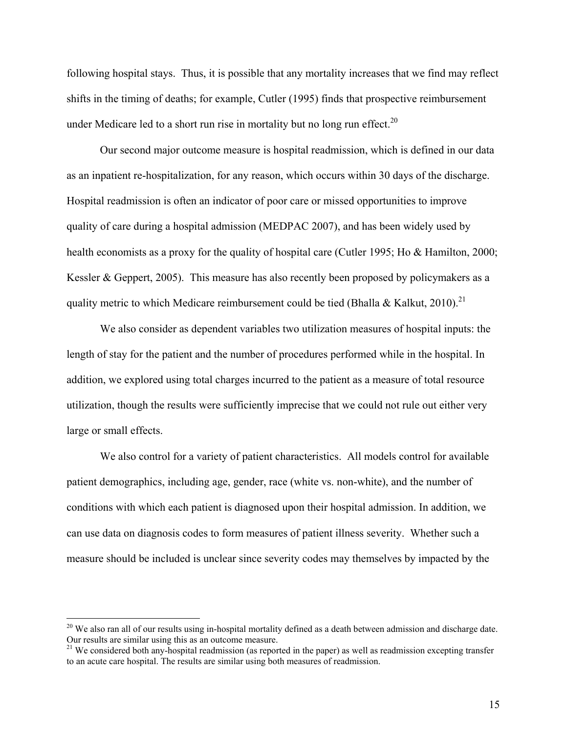following hospital stays. Thus, it is possible that any mortality increases that we find may reflect shifts in the timing of deaths; for example, Cutler (1995) finds that prospective reimbursement under Medicare led to a short run rise in mortality but no long run effect.<sup>20</sup>

 Our second major outcome measure is hospital readmission, which is defined in our data as an inpatient re-hospitalization, for any reason, which occurs within 30 days of the discharge. Hospital readmission is often an indicator of poor care or missed opportunities to improve quality of care during a hospital admission (MEDPAC 2007), and has been widely used by health economists as a proxy for the quality of hospital care (Cutler 1995; Ho & Hamilton, 2000; Kessler & Geppert, 2005). This measure has also recently been proposed by policymakers as a quality metric to which Medicare reimbursement could be tied (Bhalla & Kalkut, 2010).<sup>21</sup>

 We also consider as dependent variables two utilization measures of hospital inputs: the length of stay for the patient and the number of procedures performed while in the hospital. In addition, we explored using total charges incurred to the patient as a measure of total resource utilization, though the results were sufficiently imprecise that we could not rule out either very large or small effects.

 We also control for a variety of patient characteristics. All models control for available patient demographics, including age, gender, race (white vs. non-white), and the number of conditions with which each patient is diagnosed upon their hospital admission. In addition, we can use data on diagnosis codes to form measures of patient illness severity. Whether such a measure should be included is unclear since severity codes may themselves by impacted by the

 $\overline{a}$ 

 $20$  We also ran all of our results using in-hospital mortality defined as a death between admission and discharge date. Our results are similar using this as an outcome measure.

<sup>&</sup>lt;sup>21</sup> We considered both any-hospital readmission (as reported in the paper) as well as readmission excepting transfer to an acute care hospital. The results are similar using both measures of readmission.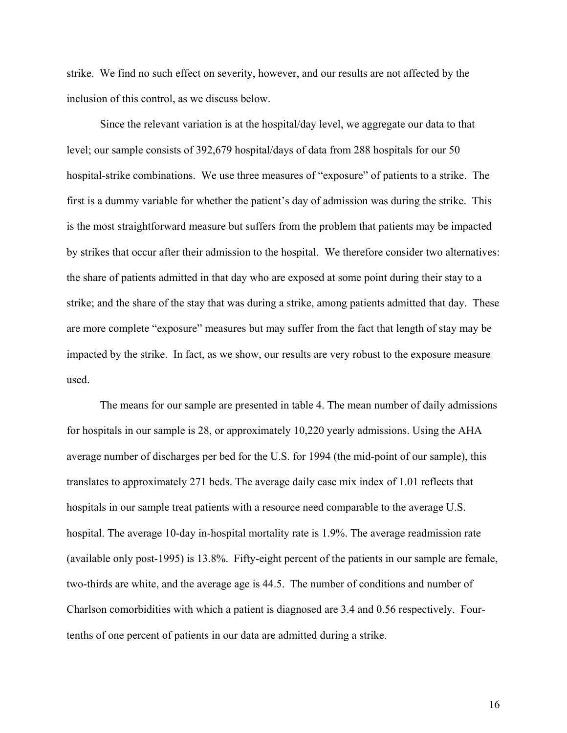strike. We find no such effect on severity, however, and our results are not affected by the inclusion of this control, as we discuss below.

 Since the relevant variation is at the hospital/day level, we aggregate our data to that level; our sample consists of 392,679 hospital/days of data from 288 hospitals for our 50 hospital-strike combinations. We use three measures of "exposure" of patients to a strike. The first is a dummy variable for whether the patient's day of admission was during the strike. This is the most straightforward measure but suffers from the problem that patients may be impacted by strikes that occur after their admission to the hospital. We therefore consider two alternatives: the share of patients admitted in that day who are exposed at some point during their stay to a strike; and the share of the stay that was during a strike, among patients admitted that day. These are more complete "exposure" measures but may suffer from the fact that length of stay may be impacted by the strike. In fact, as we show, our results are very robust to the exposure measure used.

The means for our sample are presented in table 4. The mean number of daily admissions for hospitals in our sample is 28, or approximately 10,220 yearly admissions. Using the AHA average number of discharges per bed for the U.S. for 1994 (the mid-point of our sample), this translates to approximately 271 beds. The average daily case mix index of 1.01 reflects that hospitals in our sample treat patients with a resource need comparable to the average U.S. hospital. The average 10-day in-hospital mortality rate is 1.9%. The average readmission rate (available only post-1995) is 13.8%. Fifty-eight percent of the patients in our sample are female, two-thirds are white, and the average age is 44.5. The number of conditions and number of Charlson comorbidities with which a patient is diagnosed are 3.4 and 0.56 respectively. Fourtenths of one percent of patients in our data are admitted during a strike.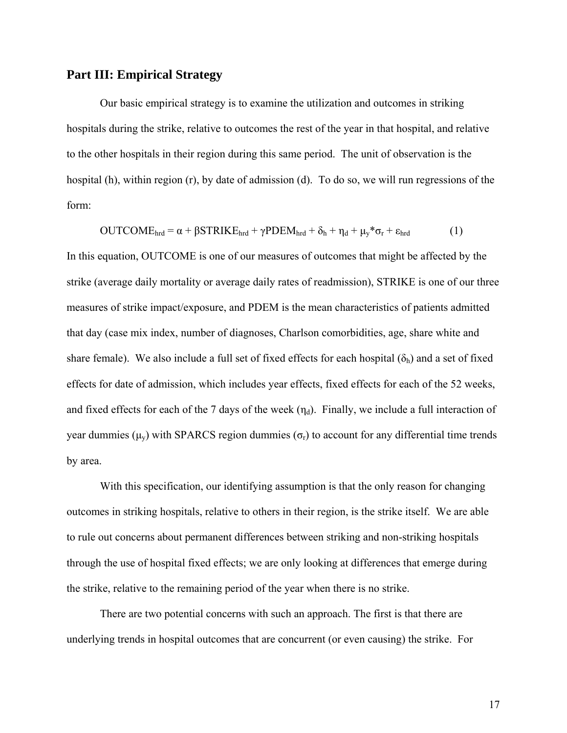### **Part III: Empirical Strategy**

Our basic empirical strategy is to examine the utilization and outcomes in striking hospitals during the strike, relative to outcomes the rest of the year in that hospital, and relative to the other hospitals in their region during this same period. The unit of observation is the hospital (h), within region (r), by date of admission (d). To do so, we will run regressions of the form:

$$
OUTCOMEhrd = \alpha + \beta STRIKEhrd + \gamma PDEMhrd + \delta_h + \eta_d + \mu_y * \sigma_r + \epsilon_{hrd}
$$
 (1)

In this equation, OUTCOME is one of our measures of outcomes that might be affected by the strike (average daily mortality or average daily rates of readmission), STRIKE is one of our three measures of strike impact/exposure, and PDEM is the mean characteristics of patients admitted that day (case mix index, number of diagnoses, Charlson comorbidities, age, share white and share female). We also include a full set of fixed effects for each hospital  $(\delta_h)$  and a set of fixed effects for date of admission, which includes year effects, fixed effects for each of the 52 weeks, and fixed effects for each of the 7 days of the week  $(\eta_d)$ . Finally, we include a full interaction of year dummies (μ<sub>y</sub>) with SPARCS region dummies (σ<sub>r</sub>) to account for any differential time trends by area.

With this specification, our identifying assumption is that the only reason for changing outcomes in striking hospitals, relative to others in their region, is the strike itself. We are able to rule out concerns about permanent differences between striking and non-striking hospitals through the use of hospital fixed effects; we are only looking at differences that emerge during the strike, relative to the remaining period of the year when there is no strike.

 There are two potential concerns with such an approach. The first is that there are underlying trends in hospital outcomes that are concurrent (or even causing) the strike. For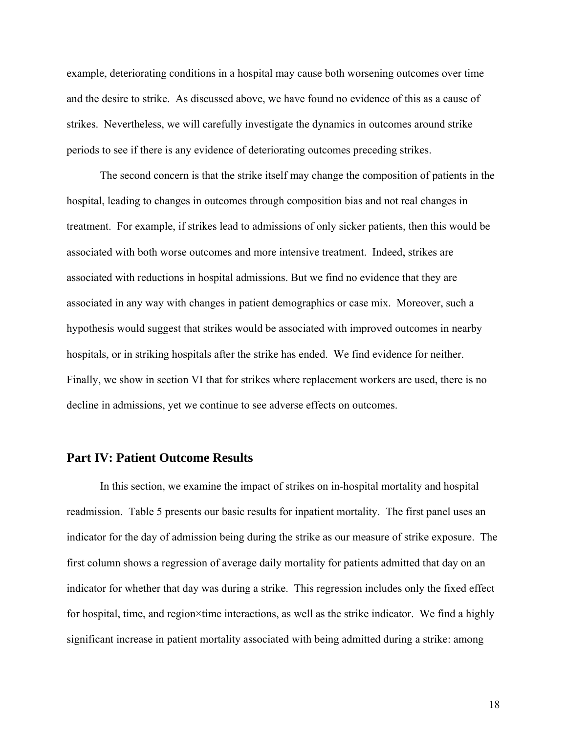example, deteriorating conditions in a hospital may cause both worsening outcomes over time and the desire to strike. As discussed above, we have found no evidence of this as a cause of strikes. Nevertheless, we will carefully investigate the dynamics in outcomes around strike periods to see if there is any evidence of deteriorating outcomes preceding strikes.

 The second concern is that the strike itself may change the composition of patients in the hospital, leading to changes in outcomes through composition bias and not real changes in treatment. For example, if strikes lead to admissions of only sicker patients, then this would be associated with both worse outcomes and more intensive treatment. Indeed, strikes are associated with reductions in hospital admissions. But we find no evidence that they are associated in any way with changes in patient demographics or case mix. Moreover, such a hypothesis would suggest that strikes would be associated with improved outcomes in nearby hospitals, or in striking hospitals after the strike has ended. We find evidence for neither. Finally, we show in section VI that for strikes where replacement workers are used, there is no decline in admissions, yet we continue to see adverse effects on outcomes.

### **Part IV: Patient Outcome Results**

In this section, we examine the impact of strikes on in-hospital mortality and hospital readmission. Table 5 presents our basic results for inpatient mortality. The first panel uses an indicator for the day of admission being during the strike as our measure of strike exposure. The first column shows a regression of average daily mortality for patients admitted that day on an indicator for whether that day was during a strike. This regression includes only the fixed effect for hospital, time, and region×time interactions, as well as the strike indicator. We find a highly significant increase in patient mortality associated with being admitted during a strike: among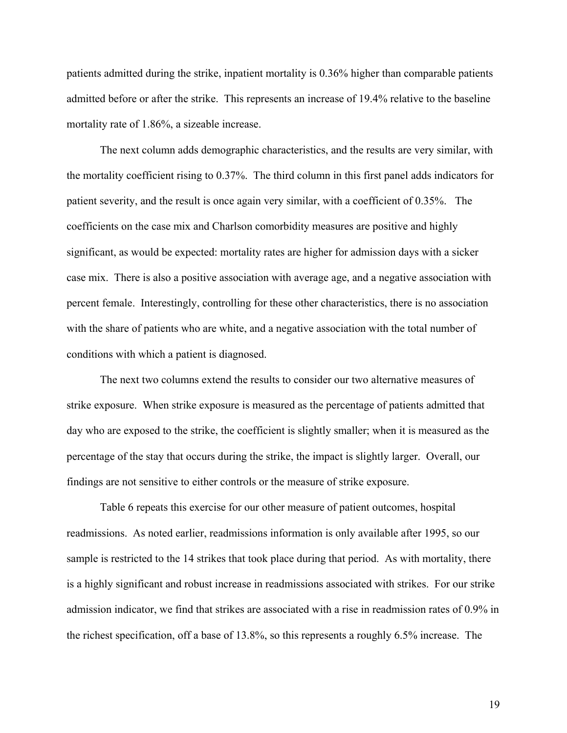patients admitted during the strike, inpatient mortality is 0.36% higher than comparable patients admitted before or after the strike. This represents an increase of 19.4% relative to the baseline mortality rate of 1.86%, a sizeable increase.

The next column adds demographic characteristics, and the results are very similar, with the mortality coefficient rising to 0.37%. The third column in this first panel adds indicators for patient severity, and the result is once again very similar, with a coefficient of 0.35%. The coefficients on the case mix and Charlson comorbidity measures are positive and highly significant, as would be expected: mortality rates are higher for admission days with a sicker case mix. There is also a positive association with average age, and a negative association with percent female. Interestingly, controlling for these other characteristics, there is no association with the share of patients who are white, and a negative association with the total number of conditions with which a patient is diagnosed.

The next two columns extend the results to consider our two alternative measures of strike exposure. When strike exposure is measured as the percentage of patients admitted that day who are exposed to the strike, the coefficient is slightly smaller; when it is measured as the percentage of the stay that occurs during the strike, the impact is slightly larger. Overall, our findings are not sensitive to either controls or the measure of strike exposure.

Table 6 repeats this exercise for our other measure of patient outcomes, hospital readmissions. As noted earlier, readmissions information is only available after 1995, so our sample is restricted to the 14 strikes that took place during that period. As with mortality, there is a highly significant and robust increase in readmissions associated with strikes. For our strike admission indicator, we find that strikes are associated with a rise in readmission rates of 0.9% in the richest specification, off a base of 13.8%, so this represents a roughly 6.5% increase. The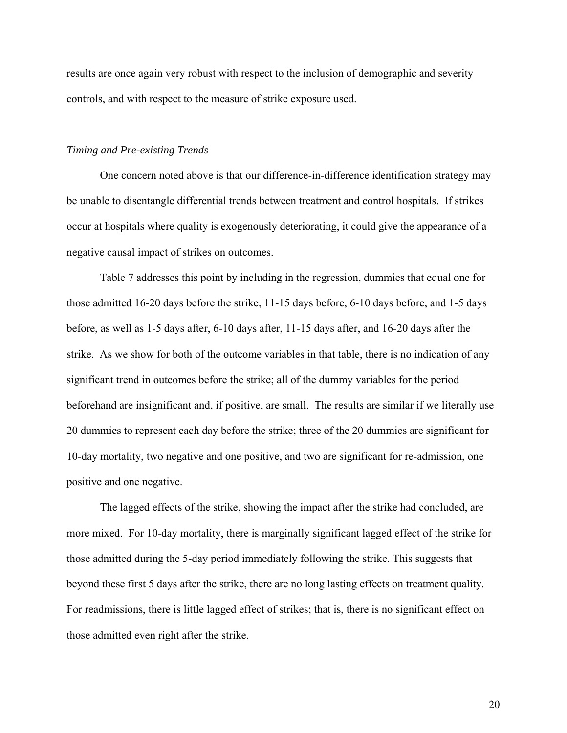results are once again very robust with respect to the inclusion of demographic and severity controls, and with respect to the measure of strike exposure used.

### *Timing and Pre-existing Trends*

 One concern noted above is that our difference-in-difference identification strategy may be unable to disentangle differential trends between treatment and control hospitals. If strikes occur at hospitals where quality is exogenously deteriorating, it could give the appearance of a negative causal impact of strikes on outcomes.

 Table 7 addresses this point by including in the regression, dummies that equal one for those admitted 16-20 days before the strike, 11-15 days before, 6-10 days before, and 1-5 days before, as well as 1-5 days after, 6-10 days after, 11-15 days after, and 16-20 days after the strike. As we show for both of the outcome variables in that table, there is no indication of any significant trend in outcomes before the strike; all of the dummy variables for the period beforehand are insignificant and, if positive, are small. The results are similar if we literally use 20 dummies to represent each day before the strike; three of the 20 dummies are significant for 10-day mortality, two negative and one positive, and two are significant for re-admission, one positive and one negative.

 The lagged effects of the strike, showing the impact after the strike had concluded, are more mixed. For 10-day mortality, there is marginally significant lagged effect of the strike for those admitted during the 5-day period immediately following the strike. This suggests that beyond these first 5 days after the strike, there are no long lasting effects on treatment quality. For readmissions, there is little lagged effect of strikes; that is, there is no significant effect on those admitted even right after the strike.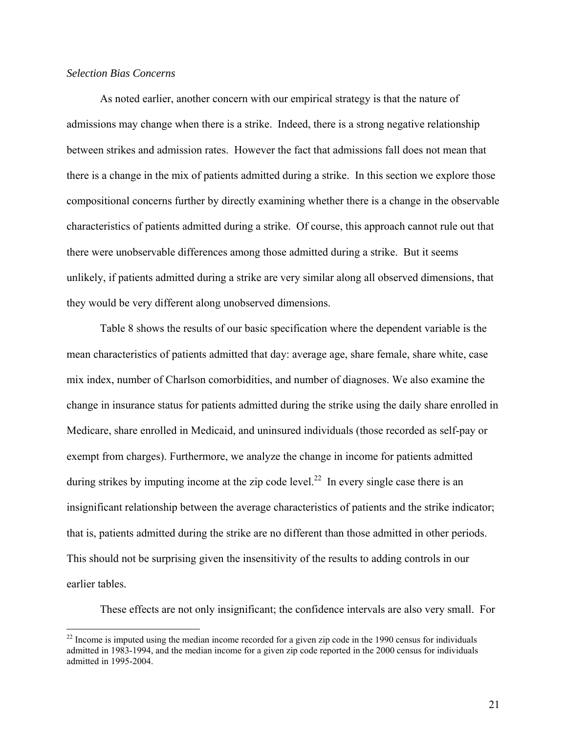### *Selection Bias Concerns*

 $\overline{a}$ 

 As noted earlier, another concern with our empirical strategy is that the nature of admissions may change when there is a strike. Indeed, there is a strong negative relationship between strikes and admission rates. However the fact that admissions fall does not mean that there is a change in the mix of patients admitted during a strike. In this section we explore those compositional concerns further by directly examining whether there is a change in the observable characteristics of patients admitted during a strike. Of course, this approach cannot rule out that there were unobservable differences among those admitted during a strike. But it seems unlikely, if patients admitted during a strike are very similar along all observed dimensions, that they would be very different along unobserved dimensions.

 Table 8 shows the results of our basic specification where the dependent variable is the mean characteristics of patients admitted that day: average age, share female, share white, case mix index, number of Charlson comorbidities, and number of diagnoses. We also examine the change in insurance status for patients admitted during the strike using the daily share enrolled in Medicare, share enrolled in Medicaid, and uninsured individuals (those recorded as self-pay or exempt from charges). Furthermore, we analyze the change in income for patients admitted during strikes by imputing income at the zip code level.<sup>22</sup> In every single case there is an insignificant relationship between the average characteristics of patients and the strike indicator; that is, patients admitted during the strike are no different than those admitted in other periods. This should not be surprising given the insensitivity of the results to adding controls in our earlier tables.

These effects are not only insignificant; the confidence intervals are also very small. For

<sup>&</sup>lt;sup>22</sup> Income is imputed using the median income recorded for a given zip code in the 1990 census for individuals admitted in 1983-1994, and the median income for a given zip code reported in the 2000 census for individuals admitted in 1995-2004.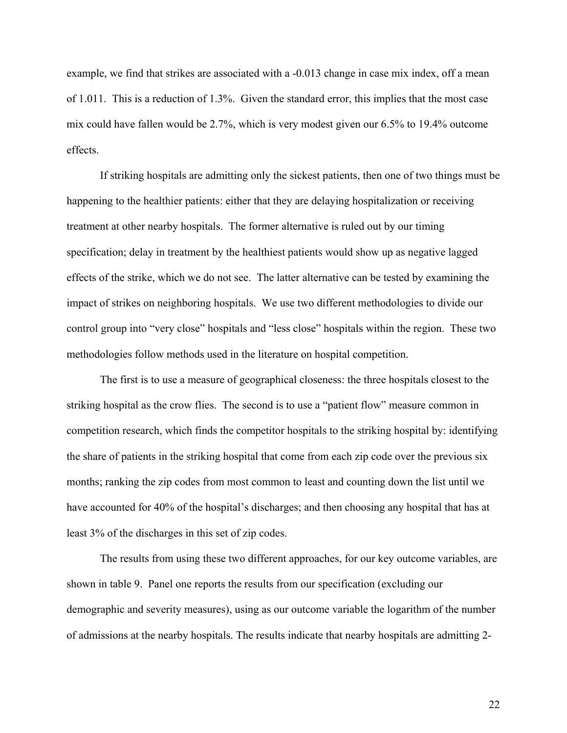example, we find that strikes are associated with a -0.013 change in case mix index, off a mean of 1.011. This is a reduction of 1.3%. Given the standard error, this implies that the most case mix could have fallen would be 2.7%, which is very modest given our 6.5% to 19.4% outcome effects.

If striking hospitals are admitting only the sickest patients, then one of two things must be happening to the healthier patients: either that they are delaying hospitalization or receiving treatment at other nearby hospitals. The former alternative is ruled out by our timing specification; delay in treatment by the healthiest patients would show up as negative lagged effects of the strike, which we do not see. The latter alternative can be tested by examining the impact of strikes on neighboring hospitals. We use two different methodologies to divide our control group into "very close" hospitals and "less close" hospitals within the region. These two methodologies follow methods used in the literature on hospital competition.

 The first is to use a measure of geographical closeness: the three hospitals closest to the striking hospital as the crow flies. The second is to use a "patient flow" measure common in competition research, which finds the competitor hospitals to the striking hospital by: identifying the share of patients in the striking hospital that come from each zip code over the previous six months; ranking the zip codes from most common to least and counting down the list until we have accounted for 40% of the hospital's discharges; and then choosing any hospital that has at least 3% of the discharges in this set of zip codes.

 The results from using these two different approaches, for our key outcome variables, are shown in table 9. Panel one reports the results from our specification (excluding our demographic and severity measures), using as our outcome variable the logarithm of the number of admissions at the nearby hospitals. The results indicate that nearby hospitals are admitting 2-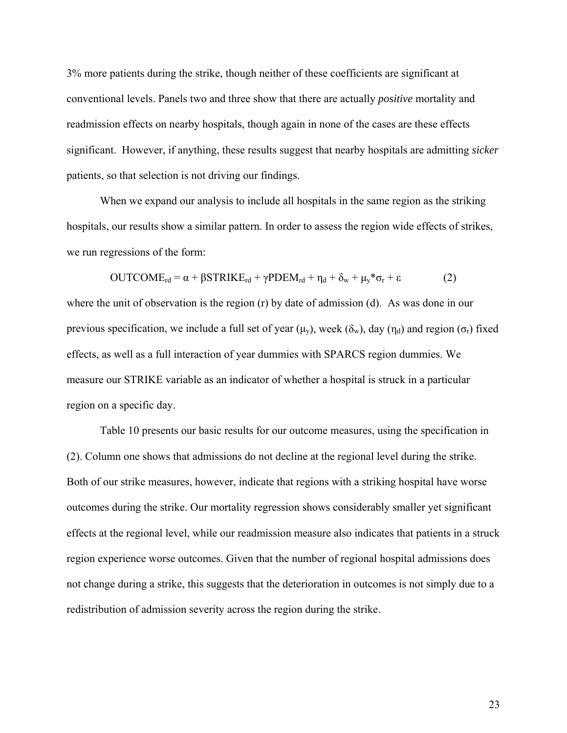3% more patients during the strike, though neither of these coefficients are significant at conventional levels. Panels two and three show that there are actually *positive* mortality and readmission effects on nearby hospitals, though again in none of the cases are these effects significant. However, if anything, these results suggest that nearby hospitals are admitting *sicker* patients, so that selection is not driving our findings.

When we expand our analysis to include all hospitals in the same region as the striking hospitals, our results show a similar pattern. In order to assess the region wide effects of strikes, we run regressions of the form:

$$
OUTCOME_{rd} = \alpha + \beta STRIKE_{rd} + \gamma PDEM_{rd} + \eta_d + \delta_w + \mu_y * \sigma_r + \epsilon
$$
 (2)

where the unit of observation is the region (r) by date of admission (d). As was done in our previous specification, we include a full set of year ( $\mu_v$ ), week ( $\delta_w$ ), day ( $\eta_d$ ) and region ( $\sigma_r$ ) fixed effects, as well as a full interaction of year dummies with SPARCS region dummies. We measure our STRIKE variable as an indicator of whether a hospital is struck in a particular region on a specific day.

 Table 10 presents our basic results for our outcome measures, using the specification in (2). Column one shows that admissions do not decline at the regional level during the strike. Both of our strike measures, however, indicate that regions with a striking hospital have worse outcomes during the strike. Our mortality regression shows considerably smaller yet significant effects at the regional level, while our readmission measure also indicates that patients in a struck region experience worse outcomes. Given that the number of regional hospital admissions does not change during a strike, this suggests that the deterioration in outcomes is not simply due to a redistribution of admission severity across the region during the strike.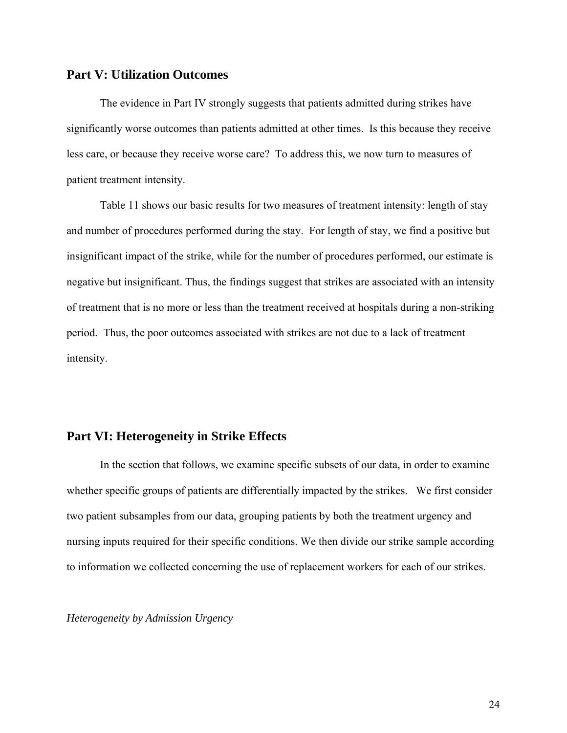### **Part V: Utilization Outcomes**

 The evidence in Part IV strongly suggests that patients admitted during strikes have significantly worse outcomes than patients admitted at other times. Is this because they receive less care, or because they receive worse care? To address this, we now turn to measures of patient treatment intensity.

 Table 11 shows our basic results for two measures of treatment intensity: length of stay and number of procedures performed during the stay. For length of stay, we find a positive but insignificant impact of the strike, while for the number of procedures performed, our estimate is negative but insignificant. Thus, the findings suggest that strikes are associated with an intensity of treatment that is no more or less than the treatment received at hospitals during a non-striking period. Thus, the poor outcomes associated with strikes are not due to a lack of treatment intensity.

### **Part VI: Heterogeneity in Strike Effects**

In the section that follows, we examine specific subsets of our data, in order to examine whether specific groups of patients are differentially impacted by the strikes. We first consider two patient subsamples from our data, grouping patients by both the treatment urgency and nursing inputs required for their specific conditions. We then divide our strike sample according to information we collected concerning the use of replacement workers for each of our strikes.

### *Heterogeneity by Admission Urgency*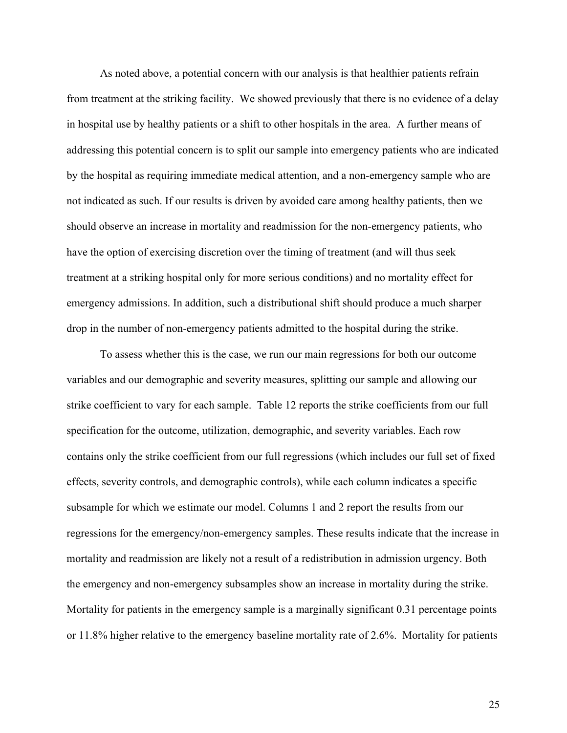As noted above, a potential concern with our analysis is that healthier patients refrain from treatment at the striking facility. We showed previously that there is no evidence of a delay in hospital use by healthy patients or a shift to other hospitals in the area. A further means of addressing this potential concern is to split our sample into emergency patients who are indicated by the hospital as requiring immediate medical attention, and a non-emergency sample who are not indicated as such. If our results is driven by avoided care among healthy patients, then we should observe an increase in mortality and readmission for the non-emergency patients, who have the option of exercising discretion over the timing of treatment (and will thus seek treatment at a striking hospital only for more serious conditions) and no mortality effect for emergency admissions. In addition, such a distributional shift should produce a much sharper drop in the number of non-emergency patients admitted to the hospital during the strike.

 To assess whether this is the case, we run our main regressions for both our outcome variables and our demographic and severity measures, splitting our sample and allowing our strike coefficient to vary for each sample. Table 12 reports the strike coefficients from our full specification for the outcome, utilization, demographic, and severity variables. Each row contains only the strike coefficient from our full regressions (which includes our full set of fixed effects, severity controls, and demographic controls), while each column indicates a specific subsample for which we estimate our model. Columns 1 and 2 report the results from our regressions for the emergency/non-emergency samples. These results indicate that the increase in mortality and readmission are likely not a result of a redistribution in admission urgency. Both the emergency and non-emergency subsamples show an increase in mortality during the strike. Mortality for patients in the emergency sample is a marginally significant 0.31 percentage points or 11.8% higher relative to the emergency baseline mortality rate of 2.6%. Mortality for patients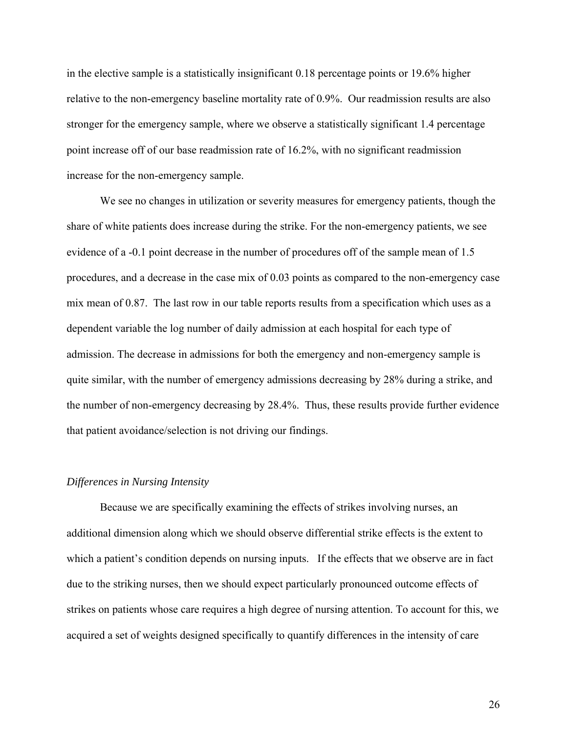in the elective sample is a statistically insignificant 0.18 percentage points or 19.6% higher relative to the non-emergency baseline mortality rate of 0.9%. Our readmission results are also stronger for the emergency sample, where we observe a statistically significant 1.4 percentage point increase off of our base readmission rate of 16.2%, with no significant readmission increase for the non-emergency sample.

We see no changes in utilization or severity measures for emergency patients, though the share of white patients does increase during the strike. For the non-emergency patients, we see evidence of a -0.1 point decrease in the number of procedures off of the sample mean of 1.5 procedures, and a decrease in the case mix of 0.03 points as compared to the non-emergency case mix mean of 0.87. The last row in our table reports results from a specification which uses as a dependent variable the log number of daily admission at each hospital for each type of admission. The decrease in admissions for both the emergency and non-emergency sample is quite similar, with the number of emergency admissions decreasing by 28% during a strike, and the number of non-emergency decreasing by 28.4%. Thus, these results provide further evidence that patient avoidance/selection is not driving our findings.

### *Differences in Nursing Intensity*

Because we are specifically examining the effects of strikes involving nurses, an additional dimension along which we should observe differential strike effects is the extent to which a patient's condition depends on nursing inputs. If the effects that we observe are in fact due to the striking nurses, then we should expect particularly pronounced outcome effects of strikes on patients whose care requires a high degree of nursing attention. To account for this, we acquired a set of weights designed specifically to quantify differences in the intensity of care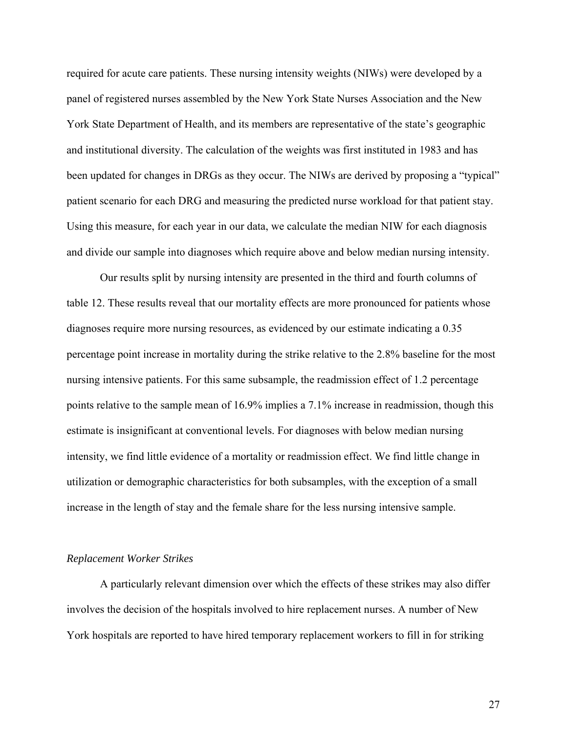required for acute care patients. These nursing intensity weights (NIWs) were developed by a panel of registered nurses assembled by the New York State Nurses Association and the New York State Department of Health, and its members are representative of the state's geographic and institutional diversity. The calculation of the weights was first instituted in 1983 and has been updated for changes in DRGs as they occur. The NIWs are derived by proposing a "typical" patient scenario for each DRG and measuring the predicted nurse workload for that patient stay. Using this measure, for each year in our data, we calculate the median NIW for each diagnosis and divide our sample into diagnoses which require above and below median nursing intensity.

Our results split by nursing intensity are presented in the third and fourth columns of table 12. These results reveal that our mortality effects are more pronounced for patients whose diagnoses require more nursing resources, as evidenced by our estimate indicating a 0.35 percentage point increase in mortality during the strike relative to the 2.8% baseline for the most nursing intensive patients. For this same subsample, the readmission effect of 1.2 percentage points relative to the sample mean of 16.9% implies a 7.1% increase in readmission, though this estimate is insignificant at conventional levels. For diagnoses with below median nursing intensity, we find little evidence of a mortality or readmission effect. We find little change in utilization or demographic characteristics for both subsamples, with the exception of a small increase in the length of stay and the female share for the less nursing intensive sample.

### *Replacement Worker Strikes*

 A particularly relevant dimension over which the effects of these strikes may also differ involves the decision of the hospitals involved to hire replacement nurses. A number of New York hospitals are reported to have hired temporary replacement workers to fill in for striking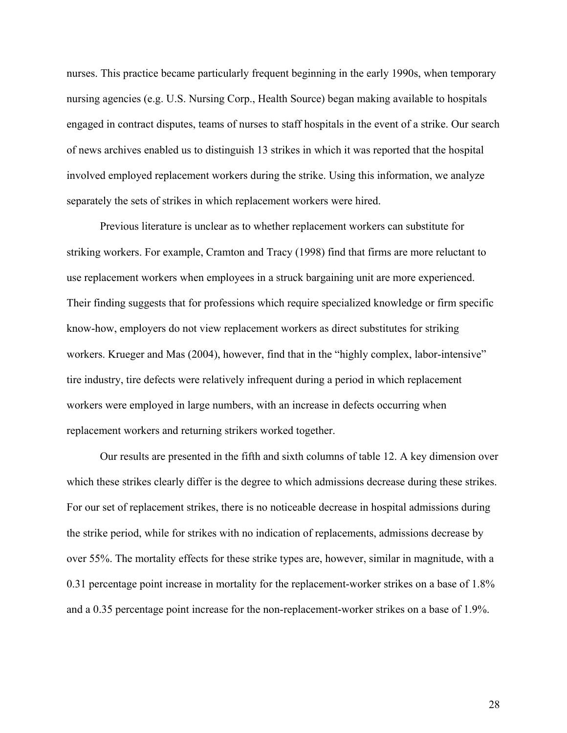nurses. This practice became particularly frequent beginning in the early 1990s, when temporary nursing agencies (e.g. U.S. Nursing Corp., Health Source) began making available to hospitals engaged in contract disputes, teams of nurses to staff hospitals in the event of a strike. Our search of news archives enabled us to distinguish 13 strikes in which it was reported that the hospital involved employed replacement workers during the strike. Using this information, we analyze separately the sets of strikes in which replacement workers were hired.

 Previous literature is unclear as to whether replacement workers can substitute for striking workers. For example, Cramton and Tracy (1998) find that firms are more reluctant to use replacement workers when employees in a struck bargaining unit are more experienced. Their finding suggests that for professions which require specialized knowledge or firm specific know-how, employers do not view replacement workers as direct substitutes for striking workers. Krueger and Mas (2004), however, find that in the "highly complex, labor-intensive" tire industry, tire defects were relatively infrequent during a period in which replacement workers were employed in large numbers, with an increase in defects occurring when replacement workers and returning strikers worked together.

 Our results are presented in the fifth and sixth columns of table 12. A key dimension over which these strikes clearly differ is the degree to which admissions decrease during these strikes. For our set of replacement strikes, there is no noticeable decrease in hospital admissions during the strike period, while for strikes with no indication of replacements, admissions decrease by over 55%. The mortality effects for these strike types are, however, similar in magnitude, with a 0.31 percentage point increase in mortality for the replacement-worker strikes on a base of 1.8% and a 0.35 percentage point increase for the non-replacement-worker strikes on a base of 1.9%.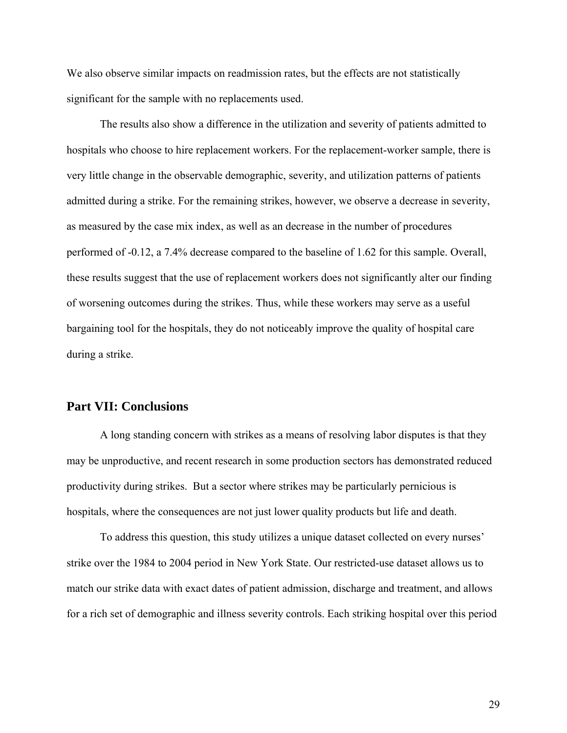We also observe similar impacts on readmission rates, but the effects are not statistically significant for the sample with no replacements used.

 The results also show a difference in the utilization and severity of patients admitted to hospitals who choose to hire replacement workers. For the replacement-worker sample, there is very little change in the observable demographic, severity, and utilization patterns of patients admitted during a strike. For the remaining strikes, however, we observe a decrease in severity, as measured by the case mix index, as well as an decrease in the number of procedures performed of -0.12, a 7.4% decrease compared to the baseline of 1.62 for this sample. Overall, these results suggest that the use of replacement workers does not significantly alter our finding of worsening outcomes during the strikes. Thus, while these workers may serve as a useful bargaining tool for the hospitals, they do not noticeably improve the quality of hospital care during a strike.

### **Part VII: Conclusions**

 A long standing concern with strikes as a means of resolving labor disputes is that they may be unproductive, and recent research in some production sectors has demonstrated reduced productivity during strikes. But a sector where strikes may be particularly pernicious is hospitals, where the consequences are not just lower quality products but life and death.

 To address this question, this study utilizes a unique dataset collected on every nurses' strike over the 1984 to 2004 period in New York State. Our restricted-use dataset allows us to match our strike data with exact dates of patient admission, discharge and treatment, and allows for a rich set of demographic and illness severity controls. Each striking hospital over this period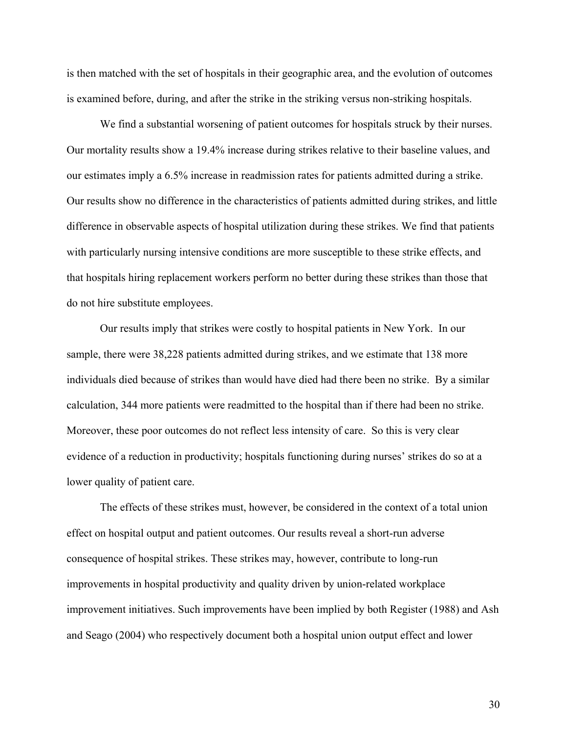is then matched with the set of hospitals in their geographic area, and the evolution of outcomes is examined before, during, and after the strike in the striking versus non-striking hospitals.

 We find a substantial worsening of patient outcomes for hospitals struck by their nurses. Our mortality results show a 19.4% increase during strikes relative to their baseline values, and our estimates imply a 6.5% increase in readmission rates for patients admitted during a strike. Our results show no difference in the characteristics of patients admitted during strikes, and little difference in observable aspects of hospital utilization during these strikes. We find that patients with particularly nursing intensive conditions are more susceptible to these strike effects, and that hospitals hiring replacement workers perform no better during these strikes than those that do not hire substitute employees.

 Our results imply that strikes were costly to hospital patients in New York. In our sample, there were 38,228 patients admitted during strikes, and we estimate that 138 more individuals died because of strikes than would have died had there been no strike. By a similar calculation, 344 more patients were readmitted to the hospital than if there had been no strike. Moreover, these poor outcomes do not reflect less intensity of care. So this is very clear evidence of a reduction in productivity; hospitals functioning during nurses' strikes do so at a lower quality of patient care.

 The effects of these strikes must, however, be considered in the context of a total union effect on hospital output and patient outcomes. Our results reveal a short-run adverse consequence of hospital strikes. These strikes may, however, contribute to long-run improvements in hospital productivity and quality driven by union-related workplace improvement initiatives. Such improvements have been implied by both Register (1988) and Ash and Seago (2004) who respectively document both a hospital union output effect and lower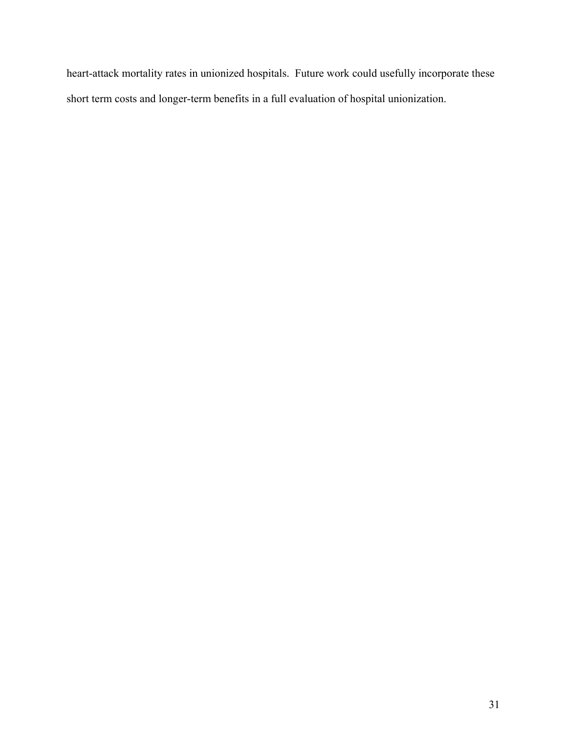heart-attack mortality rates in unionized hospitals. Future work could usefully incorporate these short term costs and longer-term benefits in a full evaluation of hospital unionization.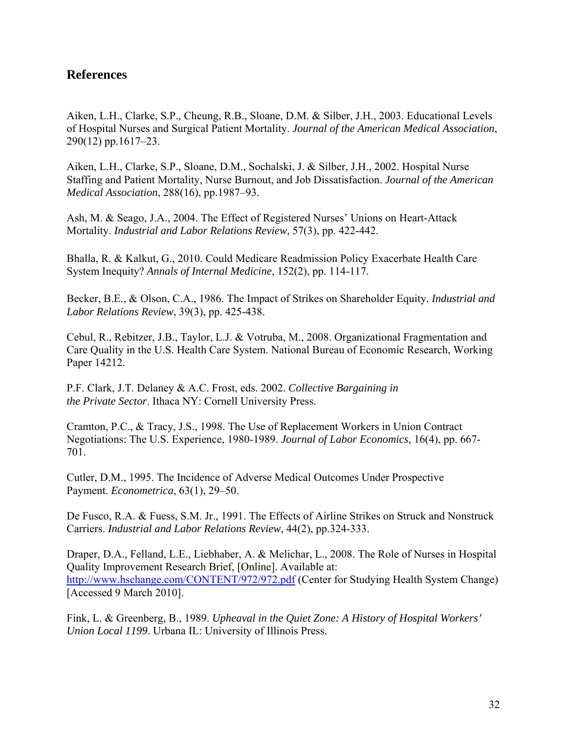# **References**

Aiken, L.H., Clarke, S.P., Cheung, R.B., Sloane, D.M. & Silber, J.H., 2003. Educational Levels of Hospital Nurses and Surgical Patient Mortality. *Journal of the American Medical Association*, 290(12) pp.1617–23.

Aiken, L.H., Clarke, S.P., Sloane, D.M., Sochalski, J. & Silber, J.H., 2002. Hospital Nurse Staffing and Patient Mortality, Nurse Burnout, and Job Dissatisfaction. *Journal of the American Medical Association*, 288(16), pp.1987–93.

Ash, M. & Seago, J.A., 2004. The Effect of Registered Nurses' Unions on Heart-Attack Mortality. *Industrial and Labor Relations Review*, 57(3), pp. 422-442.

Bhalla, R. & Kalkut, G., 2010. Could Medicare Readmission Policy Exacerbate Health Care System Inequity? *Annals of Internal Medicine*, 152(2), pp. 114-117.

Becker, B.E., & Olson, C.A., 1986. The Impact of Strikes on Shareholder Equity. *Industrial and Labor Relations Review*, 39(3), pp. 425-438.

Cebul, R., Rebitzer, J.B., Taylor, L.J. & Votruba, M., 2008. Organizational Fragmentation and Care Quality in the U.S. Health Care System. National Bureau of Economic Research, Working Paper 14212.

P.F. Clark, J.T. Delaney & A.C. Frost, eds. 2002. *Collective Bargaining in the Private Sector*. Ithaca NY: Cornell University Press.

Cramton, P.C., & Tracy, J.S., 1998. The Use of Replacement Workers in Union Contract Negotiations: The U.S. Experience, 1980-1989. *Journal of Labor Economics*, 16(4), pp. 667- 701.

Cutler, D.M., 1995. The Incidence of Adverse Medical Outcomes Under Prospective Payment. *Econometrica*, 63(1), 29–50.

De Fusco, R.A. & Fuess, S.M. Jr., 1991. The Effects of Airline Strikes on Struck and Nonstruck Carriers. *Industrial and Labor Relations Review*, 44(2), pp.324-333.

Draper, D.A., Felland, L.E., Liebhaber, A. & Melichar, L., 2008. The Role of Nurses in Hospital Quality Improvement Research Brief, [Online]. Available at: http://www.hschange.com/CONTENT/972/972.pdf (Center for Studying Health System Change) [Accessed 9 March 2010].

Fink, L. & Greenberg, B., 1989. *Upheaval in the Quiet Zone: A History of Hospital Workers' Union Local 1199*. Urbana IL: University of Illinois Press.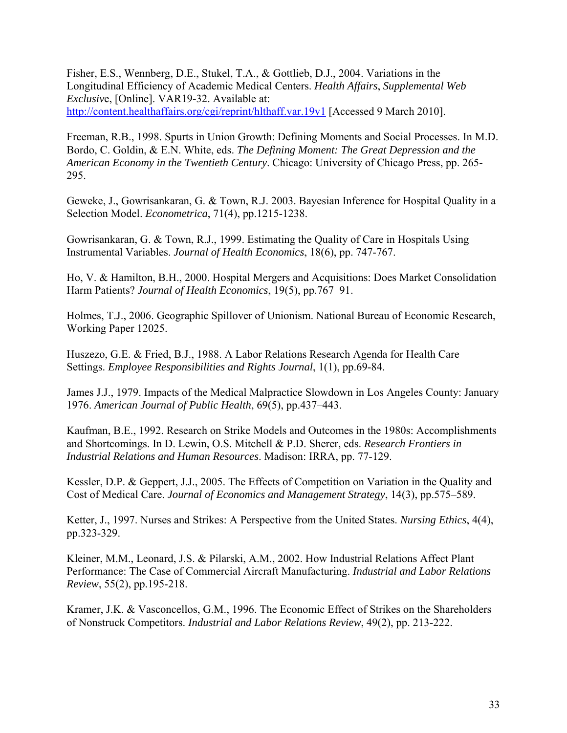Fisher, E.S., Wennberg, D.E., Stukel, T.A., & Gottlieb, D.J., 2004. Variations in the Longitudinal Efficiency of Academic Medical Centers. *Health Affairs*, *Supplemental Web Exclusiv*e, [Online]. VAR19-32. Available at: http://content.healthaffairs.org/cgi/reprint/hlthaff.var.19v1 [Accessed 9 March 2010].

Freeman, R.B., 1998. Spurts in Union Growth: Defining Moments and Social Processes. In M.D. Bordo, C. Goldin, & E.N. White, eds. *The Defining Moment: The Great Depression and the American Economy in the Twentieth Century*. Chicago: University of Chicago Press, pp. 265- 295.

Geweke, J., Gowrisankaran, G. & Town, R.J. 2003. Bayesian Inference for Hospital Quality in a Selection Model. *Econometrica*, 71(4), pp.1215-1238.

Gowrisankaran, G. & Town, R.J., 1999. Estimating the Quality of Care in Hospitals Using Instrumental Variables. *Journal of Health Economics*, 18(6), pp. 747-767.

Ho, V. & Hamilton, B.H., 2000. Hospital Mergers and Acquisitions: Does Market Consolidation Harm Patients? *Journal of Health Economics*, 19(5), pp.767–91.

Holmes, T.J., 2006. Geographic Spillover of Unionism. National Bureau of Economic Research, Working Paper 12025.

Huszezo, G.E. & Fried, B.J., 1988. A Labor Relations Research Agenda for Health Care Settings. *Employee Responsibilities and Rights Journal*, 1(1), pp.69-84.

James J.J., 1979. Impacts of the Medical Malpractice Slowdown in Los Angeles County: January 1976. *American Journal of Public Health*, 69(5), pp.437–443.

Kaufman, B.E., 1992. Research on Strike Models and Outcomes in the 1980s: Accomplishments and Shortcomings. In D. Lewin, O.S. Mitchell & P.D. Sherer, eds. *Research Frontiers in Industrial Relations and Human Resources*. Madison: IRRA, pp. 77-129.

Kessler, D.P. & Geppert, J.J., 2005. The Effects of Competition on Variation in the Quality and Cost of Medical Care. *Journal of Economics and Management Strategy*, 14(3), pp.575–589.

Ketter, J., 1997. Nurses and Strikes: A Perspective from the United States. *Nursing Ethics*, 4(4), pp.323-329.

Kleiner, M.M., Leonard, J.S. & Pilarski, A.M., 2002. How Industrial Relations Affect Plant Performance: The Case of Commercial Aircraft Manufacturing. *Industrial and Labor Relations Review*, 55(2), pp.195-218.

Kramer, J.K. & Vasconcellos, G.M., 1996. The Economic Effect of Strikes on the Shareholders of Nonstruck Competitors. *Industrial and Labor Relations Review*, 49(2), pp. 213-222.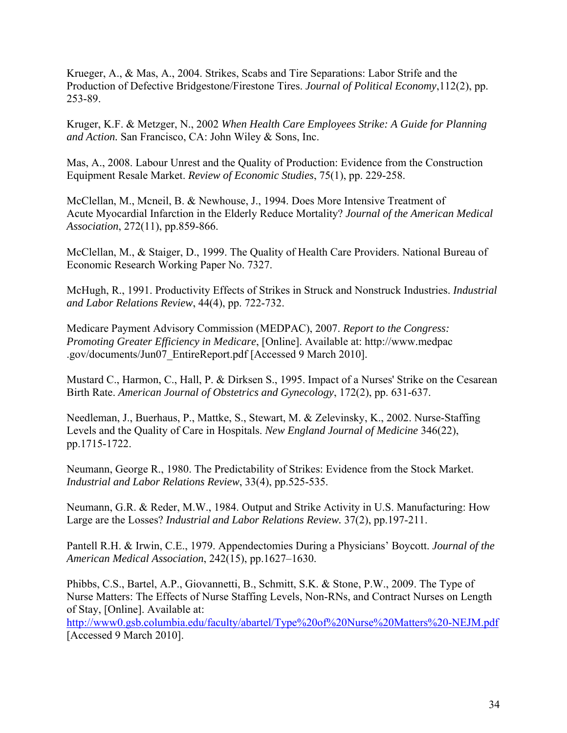Krueger, A., & Mas, A., 2004. Strikes, Scabs and Tire Separations: Labor Strife and the Production of Defective Bridgestone/Firestone Tires. *Journal of Political Economy*,112(2), pp. 253-89.

Kruger, K.F. & Metzger, N., 2002 *When Health Care Employees Strike: A Guide for Planning and Action.* San Francisco, CA: John Wiley & Sons, Inc.

Mas, A., 2008. Labour Unrest and the Quality of Production: Evidence from the Construction Equipment Resale Market. *Review of Economic Studies*, 75(1), pp. 229-258.

McClellan, M., Mcneil, B. & Newhouse, J., 1994. Does More Intensive Treatment of Acute Myocardial Infarction in the Elderly Reduce Mortality? *Journal of the American Medical Association*, 272(11), pp.859-866.

McClellan, M., & Staiger, D., 1999. The Quality of Health Care Providers. National Bureau of Economic Research Working Paper No. 7327.

McHugh, R., 1991. Productivity Effects of Strikes in Struck and Nonstruck Industries. *Industrial and Labor Relations Review*, 44(4), pp. 722-732.

Medicare Payment Advisory Commission (MEDPAC), 2007. *Report to the Congress: Promoting Greater Efficiency in Medicare*, [Online]. Available at: http://www.medpac .gov/documents/Jun07\_EntireReport.pdf [Accessed 9 March 2010].

Mustard C., Harmon, C., Hall, P. & Dirksen S., 1995. Impact of a Nurses' Strike on the Cesarean Birth Rate. *American Journal of Obstetrics and Gynecology*, 172(2), pp. 631-637.

Needleman, J., Buerhaus, P., Mattke, S., Stewart, M. & Zelevinsky, K., 2002. Nurse-Staffing Levels and the Quality of Care in Hospitals. *New England Journal of Medicine* 346(22), pp.1715-1722.

Neumann, George R., 1980. The Predictability of Strikes: Evidence from the Stock Market. *Industrial and Labor Relations Review*, 33(4), pp.525-535.

Neumann, G.R. & Reder, M.W., 1984. Output and Strike Activity in U.S. Manufacturing: How Large are the Losses? *Industrial and Labor Relations Review.* 37(2), pp.197-211.

Pantell R.H. & Irwin, C.E., 1979. Appendectomies During a Physicians' Boycott. *Journal of the American Medical Association*, 242(15), pp.1627–1630.

Phibbs, C.S., Bartel, A.P., Giovannetti, B., Schmitt, S.K. & Stone, P.W., 2009. The Type of Nurse Matters: The Effects of Nurse Staffing Levels, Non-RNs, and Contract Nurses on Length of Stay, [Online]. Available at:

http://www0.gsb.columbia.edu/faculty/abartel/Type%20of%20Nurse%20Matters%20-NEJM.pdf [Accessed 9 March 2010].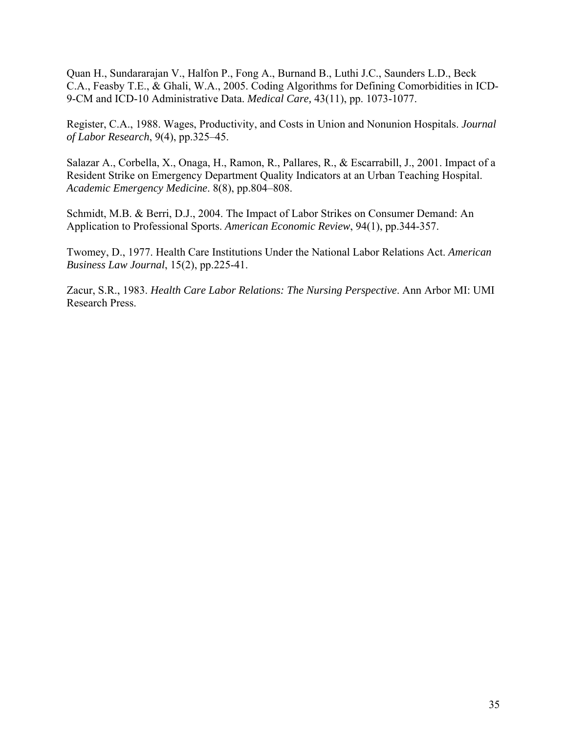Quan H., Sundararajan V., Halfon P., Fong A., Burnand B., Luthi J.C., Saunders L.D., Beck C.A., Feasby T.E., & Ghali, W.A., 2005. Coding Algorithms for Defining Comorbidities in ICD-9-CM and ICD-10 Administrative Data. *Medical Care,* 43(11), pp. 1073-1077.

Register, C.A., 1988. Wages, Productivity, and Costs in Union and Nonunion Hospitals. *Journal of Labor Research*, 9(4), pp.325–45.

Salazar A., Corbella, X., Onaga, H., Ramon, R., Pallares, R., & Escarrabill, J., 2001. Impact of a Resident Strike on Emergency Department Quality Indicators at an Urban Teaching Hospital. *Academic Emergency Medicine*. 8(8), pp.804–808.

Schmidt, M.B. & Berri, D.J., 2004. The Impact of Labor Strikes on Consumer Demand: An Application to Professional Sports. *American Economic Review*, 94(1), pp.344-357.

Twomey, D., 1977. Health Care Institutions Under the National Labor Relations Act. *American Business Law Journal*, 15(2), pp.225-41.

Zacur, S.R., 1983. *Health Care Labor Relations: The Nursing Perspective*. Ann Arbor MI: UMI Research Press.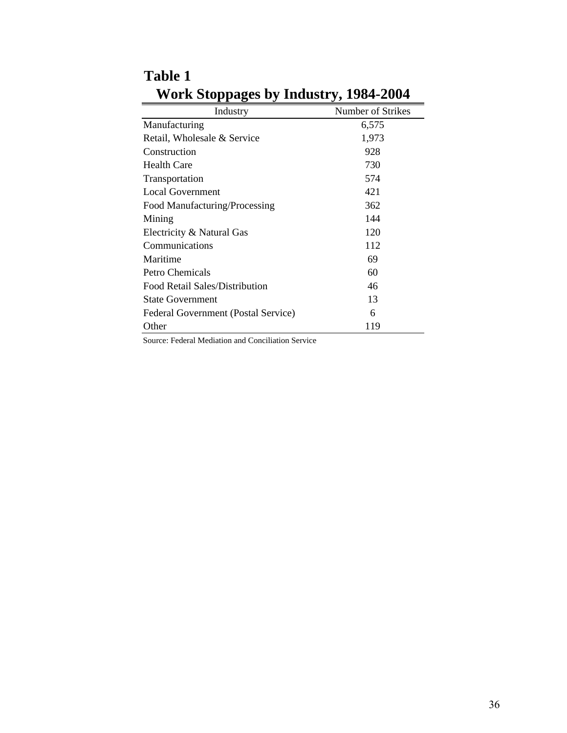| Industry                                   | Number of Strikes |
|--------------------------------------------|-------------------|
| Manufacturing                              | 6,575             |
| Retail, Wholesale & Service                | 1,973             |
| Construction                               | 928               |
| <b>Health Care</b>                         | 730               |
| Transportation                             | 574               |
| <b>Local Government</b>                    | 421               |
| Food Manufacturing/Processing              | 362               |
| Mining                                     | 144               |
| Electricity & Natural Gas                  | 120               |
| Communications                             | 112               |
| Maritime                                   | 69                |
| Petro Chemicals                            | 60                |
| Food Retail Sales/Distribution             | 46                |
| <b>State Government</b>                    | 13                |
| <b>Federal Government (Postal Service)</b> | 6                 |
| Other                                      | 119               |

**Table 1 Work Stoppages by Industry, 1984-2004**

Source: Federal Mediation and Conciliation Service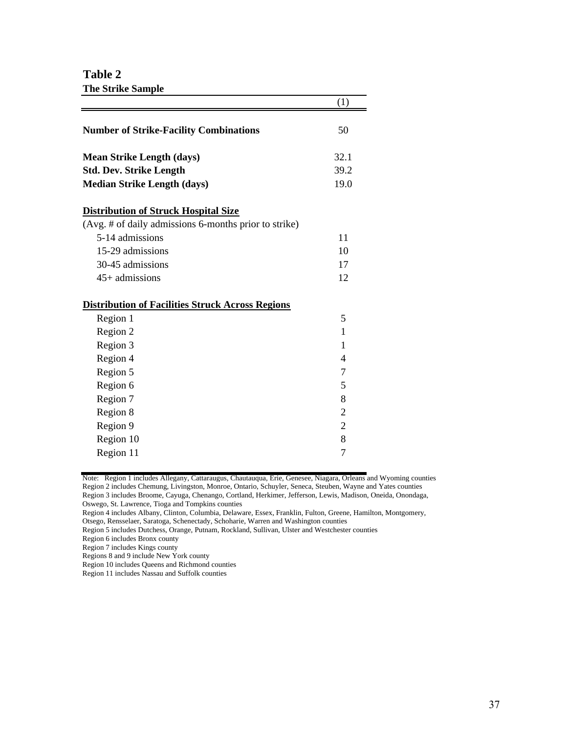**Table 2 The Strike Sample**

|                                                         | (1)            |
|---------------------------------------------------------|----------------|
| <b>Number of Strike-Facility Combinations</b>           | 50             |
| <b>Mean Strike Length (days)</b>                        | 32.1           |
| <b>Std. Dev. Strike Length</b>                          | 39.2           |
| <b>Median Strike Length (days)</b>                      | 19.0           |
| <b>Distribution of Struck Hospital Size</b>             |                |
| (Avg. # of daily admissions 6-months prior to strike)   |                |
| 5-14 admissions                                         | 11             |
| 15-29 admissions                                        | 10             |
| 30-45 admissions                                        | 17             |
| $45+$ admissions                                        | 12             |
| <b>Distribution of Facilities Struck Across Regions</b> |                |
| Region 1                                                | 5              |
| Region 2                                                | 1              |
| Region 3                                                | 1              |
| Region 4                                                | 4              |
| Region 5                                                | 7              |
| Region 6                                                | 5              |
| Region 7                                                | 8              |
| Region 8                                                | $\overline{2}$ |
| Region 9                                                | $\overline{2}$ |
| Region 10                                               | 8              |
| Region 11                                               | 7              |

Note: Region 1 includes Allegany, Cattaraugus, Chautauqua, Erie, Genesee, Niagara, Orleans and Wyoming counties Region 2 includes Chemung, Livingston, Monroe, Ontario, Schuyler, Seneca, Steuben, Wayne and Yates counties Region 3 includes Broome, Cayuga, Chenango, Cortland, Herkimer, Jefferson, Lewis, Madison, Oneida, Onondaga, Oswego, St. Lawrence, Tioga and Tompkins counties

Region 4 includes Albany, Clinton, Columbia, Delaware, Essex, Franklin, Fulton, Greene, Hamilton, Montgomery,

Otsego, Rensselaer, Saratoga, Schenectady, Schoharie, Warren and Washington counties

Region 5 includes Dutchess, Orange, Putnam, Rockland, Sullivan, Ulster and Westchester counties

Region 6 includes Bronx county

Region 7 includes Kings county

Region 10 includes Queens and Richmond counties

Region 11 includes Nassau and Suffolk counties

Regions 8 and 9 include New York county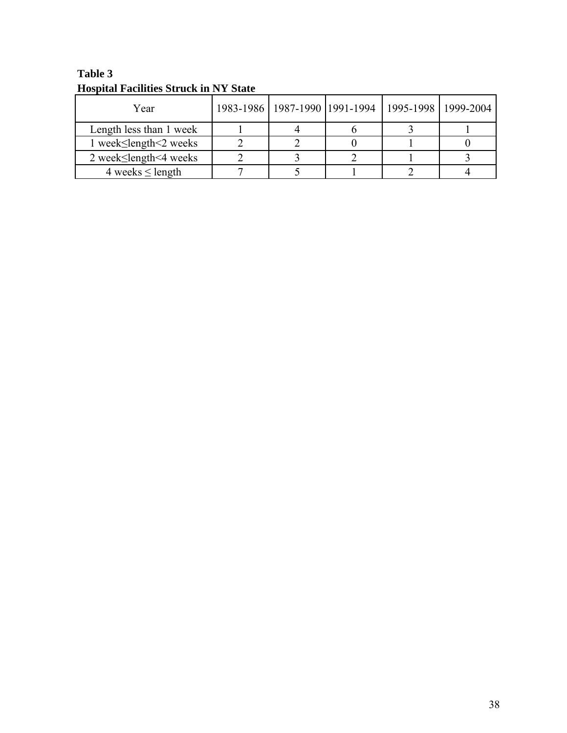| Year                                |  | 1983-1986   1987-1990   1991-1994   1995-1998   1999-2004 |  |
|-------------------------------------|--|-----------------------------------------------------------|--|
| Length less than 1 week             |  |                                                           |  |
| 1 week≤length<2 weeks               |  |                                                           |  |
| 2 week $\leq$ length $\leq$ 4 weeks |  |                                                           |  |
| 4 weeks $\leq$ length               |  |                                                           |  |

**Table 3 Hospital Facilities Struck in NY State**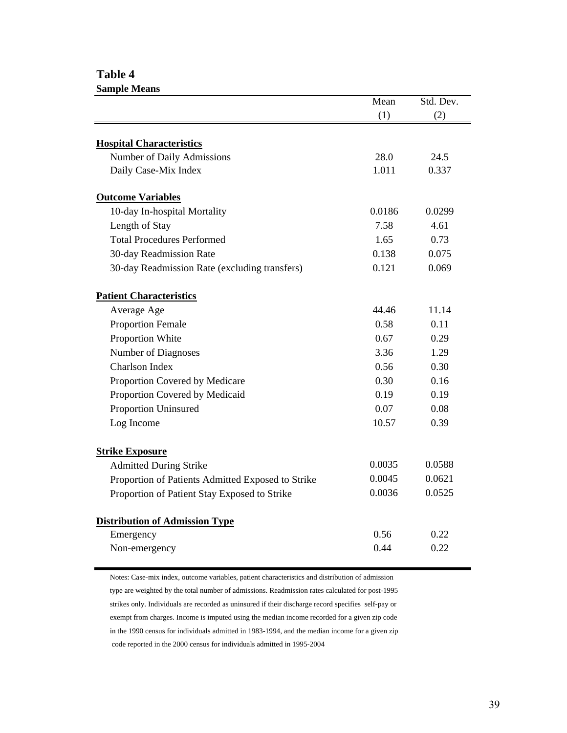## **Table 4**

| <b>Sample Means</b>                               |        |           |
|---------------------------------------------------|--------|-----------|
|                                                   | Mean   | Std. Dev. |
|                                                   | (1)    | (2)       |
|                                                   |        |           |
| <b>Hospital Characteristics</b>                   |        |           |
| Number of Daily Admissions                        | 28.0   | 24.5      |
| Daily Case-Mix Index                              | 1.011  | 0.337     |
| <b>Outcome Variables</b>                          |        |           |
| 10-day In-hospital Mortality                      | 0.0186 | 0.0299    |
| Length of Stay                                    | 7.58   | 4.61      |
| <b>Total Procedures Performed</b>                 | 1.65   | 0.73      |
| 30-day Readmission Rate                           | 0.138  | 0.075     |
| 30-day Readmission Rate (excluding transfers)     | 0.121  | 0.069     |
| <b>Patient Characteristics</b>                    |        |           |
| Average Age                                       | 44.46  | 11.14     |
| <b>Proportion Female</b>                          | 0.58   | 0.11      |
| Proportion White                                  | 0.67   | 0.29      |
| Number of Diagnoses                               | 3.36   | 1.29      |
| <b>Charlson Index</b>                             | 0.56   | 0.30      |
| Proportion Covered by Medicare                    | 0.30   | 0.16      |
| Proportion Covered by Medicaid                    | 0.19   | 0.19      |
| Proportion Uninsured                              | 0.07   | 0.08      |
| Log Income                                        | 10.57  | 0.39      |
| <b>Strike Exposure</b>                            |        |           |
| <b>Admitted During Strike</b>                     | 0.0035 | 0.0588    |
| Proportion of Patients Admitted Exposed to Strike | 0.0045 | 0.0621    |
| Proportion of Patient Stay Exposed to Strike      | 0.0036 | 0.0525    |
| <b>Distribution of Admission Type</b>             |        |           |
| Emergency                                         | 0.56   | 0.22      |
| Non-emergency                                     | 0.44   | 0.22      |
|                                                   |        |           |

Notes: Case-mix index, outcome variables, patient characteristics and distribution of admission type are weighted by the total number of admissions. Readmission rates calculated for post-1995 strikes only. Individuals are recorded as uninsured if their discharge record specifies self-pay or exempt from charges. Income is imputed using the median income recorded for a given zip code in the 1990 census for individuals admitted in 1983-1994, and the median income for a given zip code reported in the 2000 census for individuals admitted in 1995-2004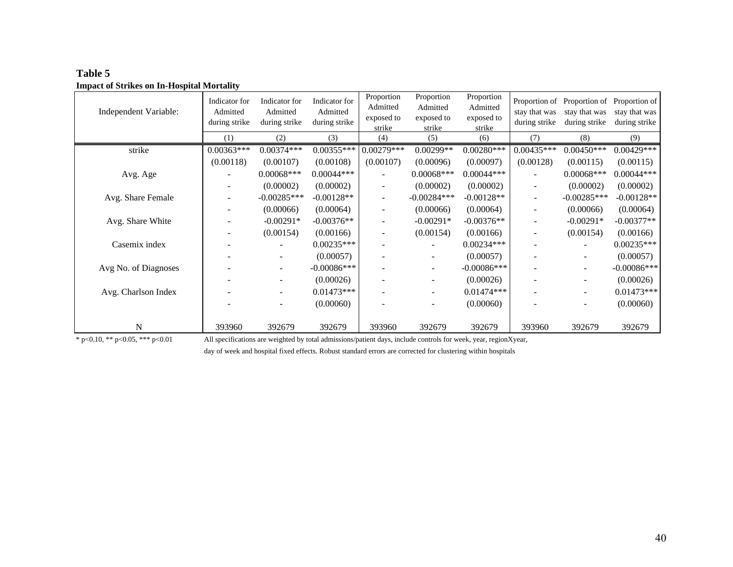| Independent Variable: | Indicator for<br>Admitted<br>during strike | Indicator for<br>Admitted<br>during strike | Indicator for<br>Admitted<br>during strike | Proportion<br>Admitted<br>exposed to<br>strike | Proportion<br>Admitted<br>exposed to<br>strike | Proportion<br>Admitted<br>exposed to<br>strike | Proportion of<br>stay that was<br>during strike | stay that was<br>during strike | Proportion of Proportion of<br>stay that was<br>during strike |
|-----------------------|--------------------------------------------|--------------------------------------------|--------------------------------------------|------------------------------------------------|------------------------------------------------|------------------------------------------------|-------------------------------------------------|--------------------------------|---------------------------------------------------------------|
|                       | (1)                                        | (2)                                        | (3)                                        | (4)                                            | (5)                                            | (6)                                            | (7)                                             | (8)                            | (9)                                                           |
| strike                | $0.00363***$                               | $0.00374***$                               | $0.00355***$                               | $0.00279***$                                   | $0.00299**$                                    | $0.00280***$                                   | $0.00435***$                                    | $0.00450***$                   | $0.00429***$                                                  |
|                       | (0.00118)                                  | (0.00107)                                  | (0.00108)                                  | (0.00107)                                      | (0.00096)                                      | (0.00097)                                      | (0.00128)                                       | (0.00115)                      | (0.00115)                                                     |
| Avg. Age              |                                            | $0.00068***$                               | $0.00044***$                               |                                                | $0.00068***$                                   | $0.00044***$                                   |                                                 | $0.00068***$                   | $0.00044***$                                                  |
|                       |                                            | (0.00002)                                  | (0.00002)                                  |                                                | (0.00002)                                      | (0.00002)                                      |                                                 | (0.00002)                      | (0.00002)                                                     |
| Avg. Share Female     |                                            | $-0.00285***$                              | $-0.00128**$                               | $\sim$                                         | $-0.00284***$                                  | $-0.00128**$                                   | ۰                                               | $-0.00285***$                  | $-0.00128**$                                                  |
|                       |                                            | (0.00066)                                  | (0.00064)                                  | $\overline{\phantom{a}}$                       | (0.00066)                                      | (0.00064)                                      | $\overline{\phantom{a}}$                        | (0.00066)                      | (0.00064)                                                     |
| Avg. Share White      |                                            | $-0.00291*$                                | $-0.00376**$                               | $\overline{\phantom{a}}$                       | $-0.00291*$                                    | $-0.00376**$                                   | $\overline{\phantom{0}}$                        | $-0.00291*$                    | $-0.00377**$                                                  |
|                       |                                            | (0.00154)                                  | (0.00166)                                  | $\overline{\phantom{a}}$                       | (0.00154)                                      | (0.00166)                                      |                                                 | (0.00154)                      | (0.00166)                                                     |
| Casemix index         |                                            |                                            | $0.00235***$                               |                                                |                                                | $0.00234***$                                   |                                                 |                                | $0.00235***$                                                  |
|                       |                                            |                                            | (0.00057)                                  |                                                |                                                | (0.00057)                                      |                                                 |                                | (0.00057)                                                     |
| Avg No. of Diagnoses  |                                            | $\overline{\phantom{a}}$                   | $-0.00086$ ***                             |                                                | -                                              | $-0.00086***$                                  |                                                 |                                | $-0.00086***$                                                 |
|                       |                                            |                                            | (0.00026)                                  |                                                |                                                | (0.00026)                                      |                                                 |                                | (0.00026)                                                     |
| Avg. Charlson Index   |                                            | $\overline{\phantom{a}}$                   | $0.01473***$                               |                                                | -                                              | $0.01474***$                                   |                                                 |                                | $0.01473***$                                                  |
|                       |                                            | $\overline{\phantom{a}}$                   | (0.00060)                                  |                                                | $\overline{\phantom{a}}$                       | (0.00060)                                      |                                                 | $\overline{\phantom{a}}$       | (0.00060)                                                     |
|                       |                                            |                                            |                                            |                                                |                                                |                                                |                                                 |                                |                                                               |
| N                     | 393960                                     | 392679                                     | 392679                                     | 393960                                         | 392679                                         | 392679                                         | 393960                                          | 392679                         | 392679                                                        |

**Table 5 Impact of Strikes on In-Hospital Mortality**

\* p<0.10, \*\* p<0.05, \*\*\* p<0.01 All specifications are weighted by total admissions/patient days, include controls for week, year, regionXyear,

day of week and hospital fixed effects. Robust standard errors are corrected for clustering within hospitals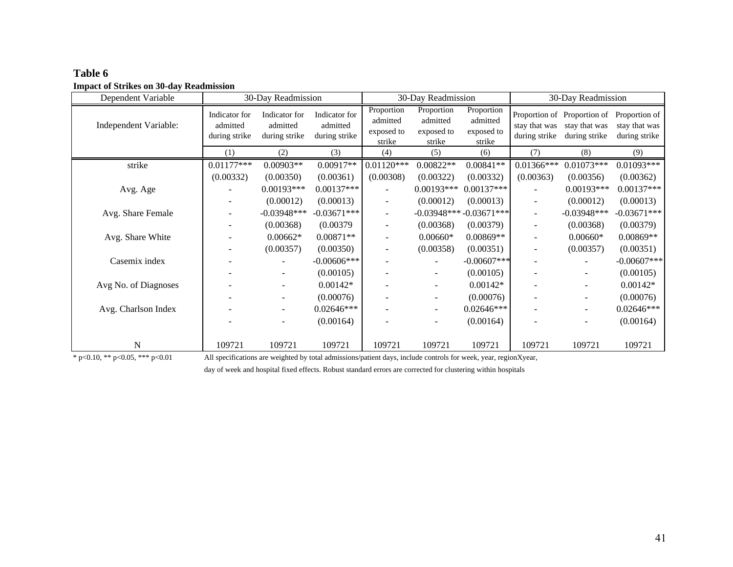| Dependent Variable    |                                            | 30-Day Readmission                         |                                            |                                                | 30-Day Readmission                             |                                                | 30-Day Readmission             |                                                               |                                                 |
|-----------------------|--------------------------------------------|--------------------------------------------|--------------------------------------------|------------------------------------------------|------------------------------------------------|------------------------------------------------|--------------------------------|---------------------------------------------------------------|-------------------------------------------------|
| Independent Variable: | Indicator for<br>admitted<br>during strike | Indicator for<br>admitted<br>during strike | Indicator for<br>admitted<br>during strike | Proportion<br>admitted<br>exposed to<br>strike | Proportion<br>admitted<br>exposed to<br>strike | Proportion<br>admitted<br>exposed to<br>strike | stay that was<br>during strike | Proportion of Proportion of<br>stay that was<br>during strike | Proportion of<br>stay that was<br>during strike |
|                       | (1)                                        | (2)                                        | (3)                                        | (4)                                            | (5)                                            | (6)                                            | (7)                            | (8)                                                           | (9)                                             |
| strike                | $0.01177***$                               | $0.00903**$                                | $0.00917**$                                | $0.01120***$                                   | $0.00822**$                                    | $0.00841**$                                    | $0.01366***$                   | $0.01073***$                                                  | $0.01093***$                                    |
|                       | (0.00332)                                  | (0.00350)                                  | (0.00361)                                  | (0.00308)                                      | (0.00322)                                      | (0.00332)                                      | (0.00363)                      | (0.00356)                                                     | (0.00362)                                       |
| Avg. Age              |                                            | $0.00193***$                               | $0.00137***$                               |                                                | $0.00193***$                                   | $0.00137***$                                   | $\overline{\phantom{a}}$       | $0.00193***$                                                  | $0.00137***$                                    |
|                       |                                            | (0.00012)                                  | (0.00013)                                  |                                                | (0.00012)                                      | (0.00013)                                      |                                | (0.00012)                                                     | (0.00013)                                       |
| Avg. Share Female     |                                            | $-0.03948$ ***                             | $-0.03671***$                              |                                                |                                                | $-0.03948***-0.03671***$                       | $\overline{\phantom{a}}$       | $-0.03948***$                                                 | $-0.03671***$                                   |
|                       |                                            | (0.00368)                                  | (0.00379)                                  |                                                | (0.00368)                                      | (0.00379)                                      | $\overline{\phantom{a}}$       | (0.00368)                                                     | (0.00379)                                       |
| Avg. Share White      |                                            | $0.00662*$                                 | $0.00871**$                                |                                                | $0.00660*$                                     | 0.00869**                                      | -                              | $0.00660*$                                                    | $0.00869**$                                     |
|                       |                                            | (0.00357)                                  | (0.00350)                                  |                                                | (0.00358)                                      | (0.00351)                                      | $\overline{\phantom{0}}$       | (0.00357)                                                     | (0.00351)                                       |
| Casemix index         |                                            |                                            | $-0.00606$ ***                             |                                                |                                                | $-0.00607$ ***                                 |                                |                                                               | $-0.00607$ ***                                  |
|                       |                                            |                                            | (0.00105)                                  |                                                | -                                              | (0.00105)                                      | $\overline{\phantom{0}}$       |                                                               | (0.00105)                                       |
| Avg No. of Diagnoses  |                                            |                                            | $0.00142*$                                 |                                                |                                                | $0.00142*$                                     |                                |                                                               | $0.00142*$                                      |
|                       |                                            |                                            | (0.00076)                                  |                                                |                                                | (0.00076)                                      | $\overline{\phantom{0}}$       |                                                               | (0.00076)                                       |
| Avg. Charlson Index   |                                            |                                            | $0.02646***$                               |                                                | -                                              | $0.02646***$                                   |                                |                                                               | $0.02646***$                                    |
|                       |                                            |                                            | (0.00164)                                  |                                                | -                                              | (0.00164)                                      | $\overline{\phantom{0}}$       |                                                               | (0.00164)                                       |
|                       |                                            |                                            |                                            |                                                |                                                |                                                |                                |                                                               |                                                 |
| N                     | 109721                                     | 109721                                     | 109721                                     | 109721                                         | 109721                                         | 109721                                         | 109721                         | 109721                                                        | 109721                                          |

**Table 6Impact of Strikes on 30-day Readmission**

\* p<0.10, \*\* p<0.05, \*\*\* p<0.01 All specifications are weighted by total admissions/patient days, include controls for week, year, regionXyear,

day of week and hospital fixed effects. Robust standard errors are corrected for clustering within hospitals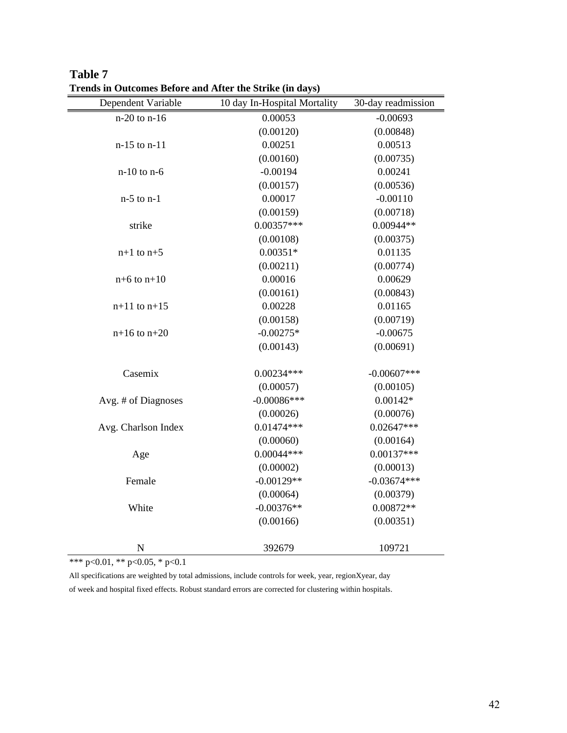| Dependent Variable  | 10 day In-Hospital Mortality | 30-day readmission |
|---------------------|------------------------------|--------------------|
| $n-20$ to $n-16$    | 0.00053                      | $-0.00693$         |
|                     | (0.00120)                    | (0.00848)          |
| n-15 to n-11        | 0.00251                      | 0.00513            |
|                     | (0.00160)                    | (0.00735)          |
| $n-10$ to $n-6$     | $-0.00194$                   | 0.00241            |
|                     | (0.00157)                    | (0.00536)          |
| $n-5$ to $n-1$      | 0.00017                      | $-0.00110$         |
|                     | (0.00159)                    | (0.00718)          |
| strike              | $0.00357***$                 | $0.00944**$        |
|                     | (0.00108)                    | (0.00375)          |
| $n+1$ to $n+5$      | $0.00351*$                   | 0.01135            |
|                     | (0.00211)                    | (0.00774)          |
| $n+6$ to $n+10$     | 0.00016                      | 0.00629            |
|                     | (0.00161)                    | (0.00843)          |
| $n+11$ to $n+15$    | 0.00228                      | 0.01165            |
|                     | (0.00158)                    | (0.00719)          |
| $n+16$ to $n+20$    | $-0.00275*$                  | $-0.00675$         |
|                     | (0.00143)                    | (0.00691)          |
| Casemix             | $0.00234***$                 | $-0.00607$ ***     |
|                     | (0.00057)                    | (0.00105)          |
| Avg. # of Diagnoses | $-0.00086***$                | $0.00142*$         |
|                     | (0.00026)                    | (0.00076)          |
| Avg. Charlson Index | $0.01474***$                 | $0.02647***$       |
|                     | (0.00060)                    | (0.00164)          |
| Age                 | $0.00044***$                 | $0.00137***$       |
|                     | (0.00002)                    | (0.00013)          |
| Female              | $-0.00129**$                 | $-0.03674***$      |
|                     | (0.00064)                    | (0.00379)          |
| White               | $-0.00376**$                 | $0.00872**$        |
|                     | (0.00166)                    | (0.00351)          |
| $\mathbf N$         | 392679                       | 109721             |

**Table 7 Trends in Outcomes Before and After the Strike (in days)**

\*\*\* p<0.01, \*\* p<0.05, \* p<0.1

All specifications are weighted by total admissions, include controls for week, year, regionXyear, day of week and hospital fixed effects. Robust standard errors are corrected for clustering within hospitals.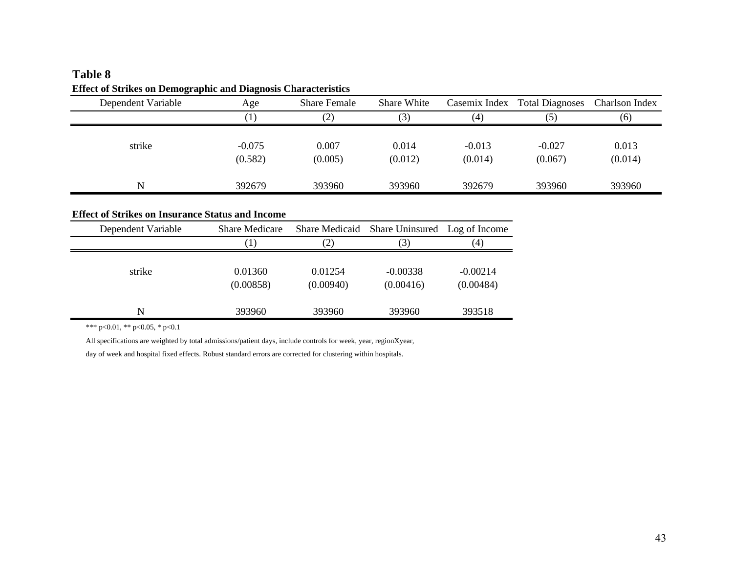## **Table 8 Effect of Strikes on Demographic and Diagnosis Characteristics**

| Dependent Variable | Age                 | <b>Share Female</b> | Share White      |                     | Casemix Index Total Diagnoses | Charlson Index   |
|--------------------|---------------------|---------------------|------------------|---------------------|-------------------------------|------------------|
|                    | $\left  \right $    | (2)                 | (3)              | (4)                 | (5)                           | (6)              |
| strike             | $-0.075$<br>(0.582) | 0.007<br>(0.005)    | 0.014<br>(0.012) | $-0.013$<br>(0.014) | $-0.027$<br>(0.067)           | 0.013<br>(0.014) |
| N                  | 392679              | 393960              | 393960           | 392679              | 393960                        | 393960           |

### **Effect of Strikes on Insurance Status and Income**

| Dependent Variable | <b>Share Medicare</b> | Share Medicaid    | Share Uninsured | Log of Income |
|--------------------|-----------------------|-------------------|-----------------|---------------|
|                    |                       |                   |                 |               |
|                    | $\perp$               | $\left( 2\right)$ | (3)             | (4)           |
|                    |                       |                   |                 |               |
| strike             | 0.01360               | 0.01254           | $-0.00338$      | $-0.00214$    |
|                    | (0.00858)             | (0.00940)         | (0.00416)       | (0.00484)     |
| N                  | 393960                | 393960            | 393960          | 393518        |

\*\*\* p<0.01, \*\* p<0.05, \* p<0.1

All specifications are weighted by total admissions/patient days, include controls for week, year, regionXyear,

day of week and hospital fixed effects. Robust standard errors are corrected for clustering within hospitals.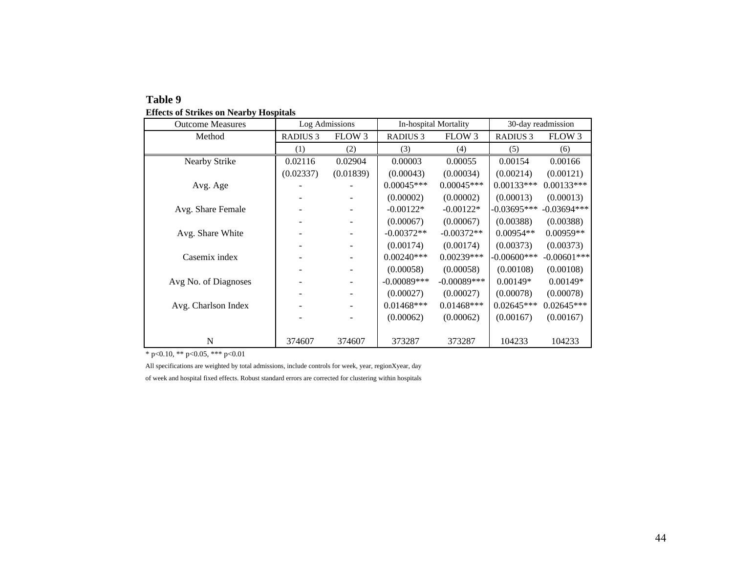| <b>Outcome Measures</b> |                 | Log Admissions           |                 | In-hospital Mortality | 30-day readmission |                |
|-------------------------|-----------------|--------------------------|-----------------|-----------------------|--------------------|----------------|
| Method                  | <b>RADIUS 3</b> | FLOW 3                   | <b>RADIUS 3</b> | FLOW 3                | <b>RADIUS 3</b>    | FLOW 3         |
|                         | (1)             | (2)                      | (3)             | (4)                   | (5)                | (6)            |
| Nearby Strike           | 0.02116         | 0.02904                  | 0.00003         | 0.00055               | 0.00154            | 0.00166        |
|                         | (0.02337)       | (0.01839)                | (0.00043)       | (0.00034)             | (0.00214)          | (0.00121)      |
| Avg. Age                |                 |                          | $0.00045***$    | $0.00045***$          | $0.00133***$       | $0.00133***$   |
|                         |                 |                          | (0.00002)       | (0.00002)             | (0.00013)          | (0.00013)      |
| Avg. Share Female       |                 | $\overline{\phantom{a}}$ | $-0.00122*$     | $-0.00122*$           | $-0.03695***$      | $-0.03694***$  |
|                         |                 | -                        | (0.00067)       | (0.00067)             | (0.00388)          | (0.00388)      |
| Avg. Share White        |                 | $\overline{\phantom{a}}$ | $-0.00372**$    | $-0.00372**$          | $0.00954**$        | $0.00959**$    |
|                         |                 |                          | (0.00174)       | (0.00174)             | (0.00373)          | (0.00373)      |
| Casemix index           |                 |                          | $0.00240***$    | $0.00239***$          | $-0.00600$ ***     | $-0.00601$ *** |
|                         |                 |                          | (0.00058)       | (0.00058)             | (0.00108)          | (0.00108)      |
| Avg No. of Diagnoses    |                 |                          | $-0.00089***$   | $-0.00089***$         | $0.00149*$         | $0.00149*$     |
|                         |                 |                          | (0.00027)       | (0.00027)             | (0.00078)          | (0.00078)      |
| Avg. Charlson Index     |                 |                          | $0.01468$ ***   | $0.01468$ ***         | $0.02645***$       | $0.02645***$   |
|                         |                 |                          | (0.00062)       | (0.00062)             | (0.00167)          | (0.00167)      |
|                         |                 |                          |                 |                       |                    |                |
| N                       | 374607          | 374607                   | 373287          | 373287                | 104233             | 104233         |

#### **Table 9 Effects of Strikes on Nearby Hospitals**

 $*$  p<0.10, \*\* p<0.05, \*\*\* p<0.01

All specifications are weighted by total admissions, include controls for week, year, regionXyear, day of week and hospital fixed effects. Robust standard errors are corrected for clustering within hospitals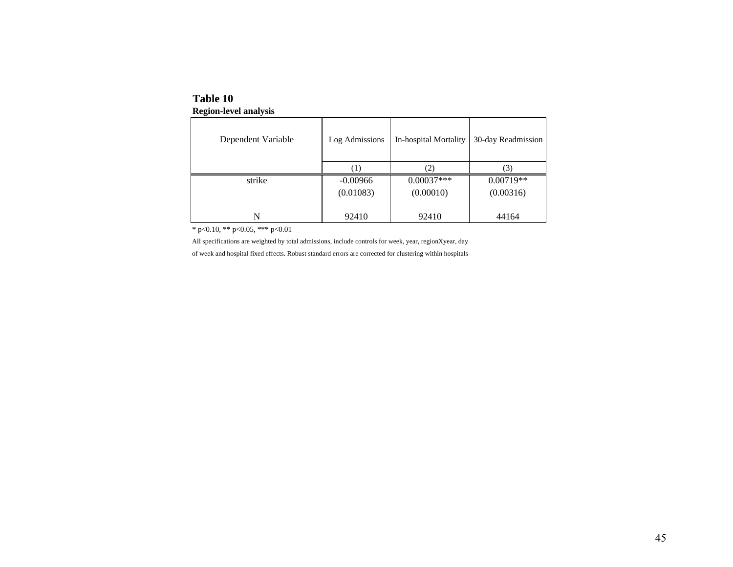| Dependent Variable | Log Admissions | In-hospital Mortality | 30-day Readmission |
|--------------------|----------------|-----------------------|--------------------|
|                    |                | (2)                   | (3)                |
| strike             | $-0.00966$     | $0.00037***$          | $0.00719**$        |
|                    | (0.01083)      | (0.00010)             | (0.00316)          |
|                    |                |                       |                    |
| N                  | 92410          | 92410                 | 44164              |

**Table 10Region-level analysis**

\* p<0.10, \*\* p<0.05, \*\*\* p<0.01

All specifications are weighted by total admissions, include controls for week, year, regionXyear, day

of week and hospital fixed effects. Robust standard errors are corrected for clustering within hospitals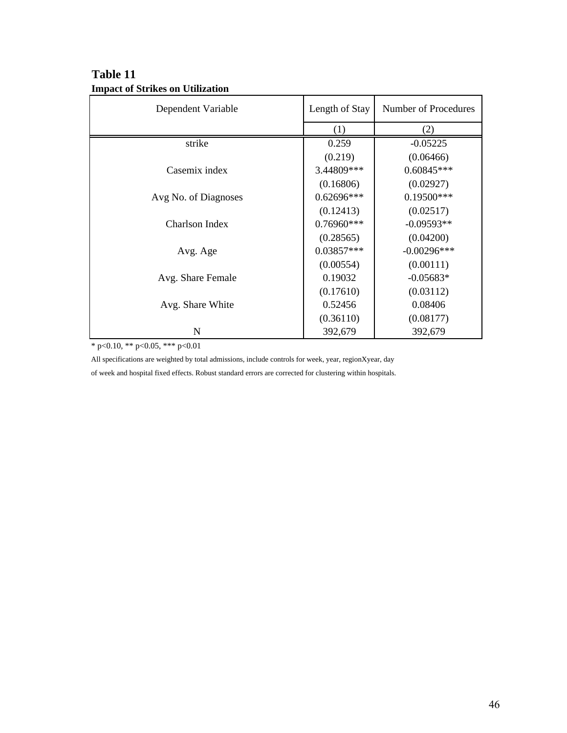| Dependent Variable   | Length of Stay | Number of Procedures |
|----------------------|----------------|----------------------|
|                      | (1)            | (2)                  |
| strike               | 0.259          | $-0.05225$           |
|                      | (0.219)        | (0.06466)            |
| Casemix index        | 3.44809***     | $0.60845***$         |
|                      | (0.16806)      | (0.02927)            |
| Avg No. of Diagnoses | $0.62696***$   | $0.19500***$         |
|                      | (0.12413)      | (0.02517)            |
| Charlson Index       | $0.76960***$   | $-0.09593**$         |
|                      | (0.28565)      | (0.04200)            |
| Avg. Age             | $0.03857***$   | $-0.00296***$        |
|                      | (0.00554)      | (0.00111)            |
| Avg. Share Female    | 0.19032        | $-0.05683*$          |
|                      | (0.17610)      | (0.03112)            |
| Avg. Share White     | 0.52456        | 0.08406              |
|                      | (0.36110)      | (0.08177)            |
| N                    | 392,679        | 392,679              |

# **Table 11 Impact of Strikes on Utilization**

\* p<0.10, \*\* p<0.05, \*\*\* p<0.01

All specifications are weighted by total admissions, include controls for week, year, regionXyear, day of week and hospital fixed effects. Robust standard errors are corrected for clustering within hospitals.